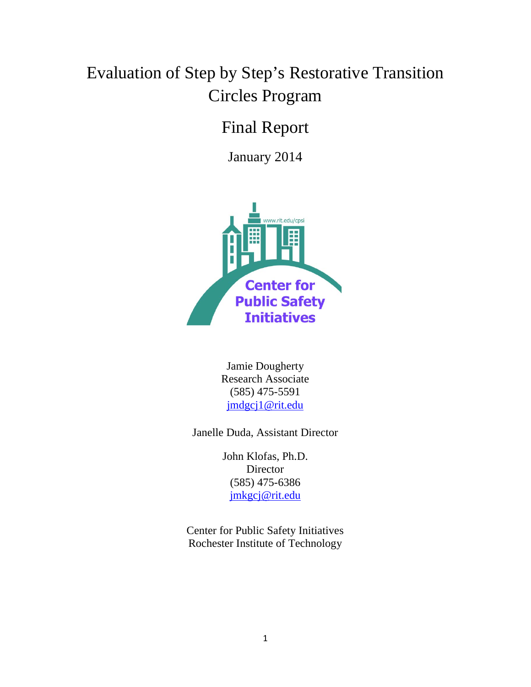# Evaluation of Step by Step's Restorative Transition Circles Program

## Final Report

January 2014



Jamie Dougherty Research Associate (585) 475-5591 [jmdgcj1@rit.edu](mailto:jmdgcj1@rit.edu)

Janelle Duda, Assistant Director

John Klofas, Ph.D. **Director** (585) 475-6386 [jmkgcj@rit.edu](mailto:jmkgcj@rit.edu)

Center for Public Safety Initiatives Rochester Institute of Technology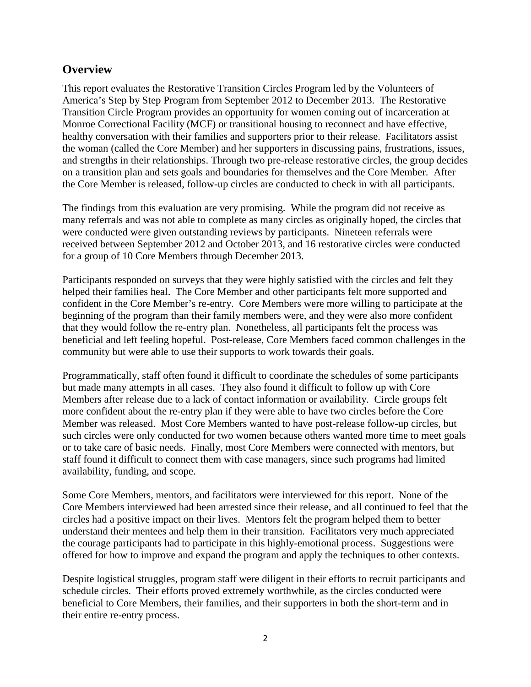## **Overview**

This report evaluates the Restorative Transition Circles Program led by the Volunteers of America's Step by Step Program from September 2012 to December 2013. The Restorative Transition Circle Program provides an opportunity for women coming out of incarceration at Monroe Correctional Facility (MCF) or transitional housing to reconnect and have effective, healthy conversation with their families and supporters prior to their release. Facilitators assist the woman (called the Core Member) and her supporters in discussing pains, frustrations, issues, and strengths in their relationships. Through two pre-release restorative circles, the group decides on a transition plan and sets goals and boundaries for themselves and the Core Member. After the Core Member is released, follow-up circles are conducted to check in with all participants.

The findings from this evaluation are very promising. While the program did not receive as many referrals and was not able to complete as many circles as originally hoped, the circles that were conducted were given outstanding reviews by participants. Nineteen referrals were received between September 2012 and October 2013, and 16 restorative circles were conducted for a group of 10 Core Members through December 2013.

Participants responded on surveys that they were highly satisfied with the circles and felt they helped their families heal. The Core Member and other participants felt more supported and confident in the Core Member's re-entry. Core Members were more willing to participate at the beginning of the program than their family members were, and they were also more confident that they would follow the re-entry plan. Nonetheless, all participants felt the process was beneficial and left feeling hopeful. Post-release, Core Members faced common challenges in the community but were able to use their supports to work towards their goals.

Programmatically, staff often found it difficult to coordinate the schedules of some participants but made many attempts in all cases. They also found it difficult to follow up with Core Members after release due to a lack of contact information or availability. Circle groups felt more confident about the re-entry plan if they were able to have two circles before the Core Member was released. Most Core Members wanted to have post-release follow-up circles, but such circles were only conducted for two women because others wanted more time to meet goals or to take care of basic needs. Finally, most Core Members were connected with mentors, but staff found it difficult to connect them with case managers, since such programs had limited availability, funding, and scope.

Some Core Members, mentors, and facilitators were interviewed for this report. None of the Core Members interviewed had been arrested since their release, and all continued to feel that the circles had a positive impact on their lives. Mentors felt the program helped them to better understand their mentees and help them in their transition. Facilitators very much appreciated the courage participants had to participate in this highly-emotional process. Suggestions were offered for how to improve and expand the program and apply the techniques to other contexts.

Despite logistical struggles, program staff were diligent in their efforts to recruit participants and schedule circles. Their efforts proved extremely worthwhile, as the circles conducted were beneficial to Core Members, their families, and their supporters in both the short-term and in their entire re-entry process.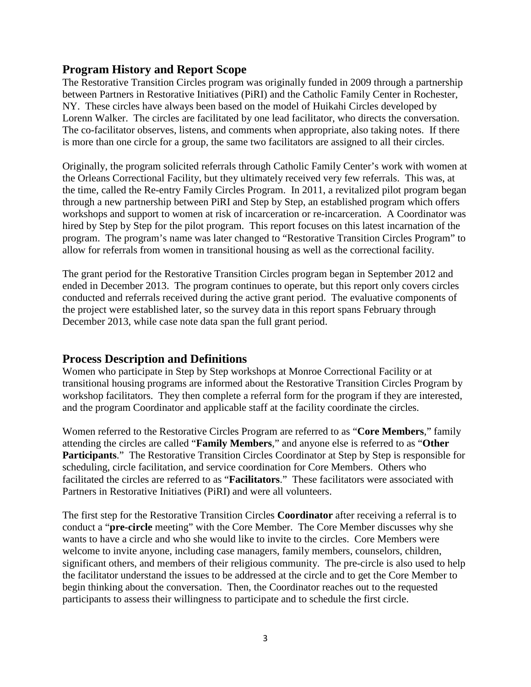## **Program History and Report Scope**

The Restorative Transition Circles program was originally funded in 2009 through a partnership between Partners in Restorative Initiatives (PiRI) and the Catholic Family Center in Rochester, NY. These circles have always been based on the model of Huikahi Circles developed by Lorenn Walker. The circles are facilitated by one lead facilitator, who directs the conversation. The co-facilitator observes, listens, and comments when appropriate, also taking notes. If there is more than one circle for a group, the same two facilitators are assigned to all their circles.

Originally, the program solicited referrals through Catholic Family Center's work with women at the Orleans Correctional Facility, but they ultimately received very few referrals. This was, at the time, called the Re-entry Family Circles Program. In 2011, a revitalized pilot program began through a new partnership between PiRI and Step by Step, an established program which offers workshops and support to women at risk of incarceration or re-incarceration. A Coordinator was hired by Step by Step for the pilot program. This report focuses on this latest incarnation of the program. The program's name was later changed to "Restorative Transition Circles Program" to allow for referrals from women in transitional housing as well as the correctional facility.

The grant period for the Restorative Transition Circles program began in September 2012 and ended in December 2013. The program continues to operate, but this report only covers circles conducted and referrals received during the active grant period. The evaluative components of the project were established later, so the survey data in this report spans February through December 2013, while case note data span the full grant period.

## **Process Description and Definitions**

Women who participate in Step by Step workshops at Monroe Correctional Facility or at transitional housing programs are informed about the Restorative Transition Circles Program by workshop facilitators. They then complete a referral form for the program if they are interested, and the program Coordinator and applicable staff at the facility coordinate the circles.

Women referred to the Restorative Circles Program are referred to as "**Core Members**," family attending the circles are called "**Family Members**," and anyone else is referred to as "**Other Participants**." The Restorative Transition Circles Coordinator at Step by Step is responsible for scheduling, circle facilitation, and service coordination for Core Members. Others who facilitated the circles are referred to as "**Facilitators**." These facilitators were associated with Partners in Restorative Initiatives (PiRI) and were all volunteers.

The first step for the Restorative Transition Circles **Coordinator** after receiving a referral is to conduct a "**pre-circle** meeting" with the Core Member. The Core Member discusses why she wants to have a circle and who she would like to invite to the circles. Core Members were welcome to invite anyone, including case managers, family members, counselors, children, significant others, and members of their religious community. The pre-circle is also used to help the facilitator understand the issues to be addressed at the circle and to get the Core Member to begin thinking about the conversation. Then, the Coordinator reaches out to the requested participants to assess their willingness to participate and to schedule the first circle.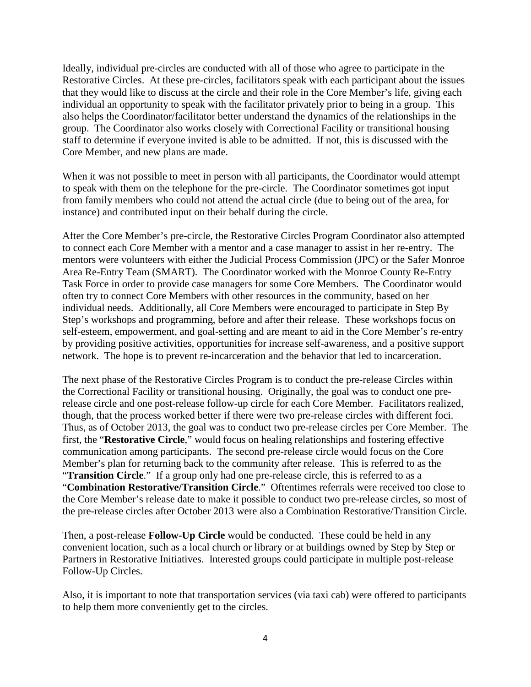Ideally, individual pre-circles are conducted with all of those who agree to participate in the Restorative Circles. At these pre-circles, facilitators speak with each participant about the issues that they would like to discuss at the circle and their role in the Core Member's life, giving each individual an opportunity to speak with the facilitator privately prior to being in a group. This also helps the Coordinator/facilitator better understand the dynamics of the relationships in the group. The Coordinator also works closely with Correctional Facility or transitional housing staff to determine if everyone invited is able to be admitted. If not, this is discussed with the Core Member, and new plans are made.

When it was not possible to meet in person with all participants, the Coordinator would attempt to speak with them on the telephone for the pre-circle. The Coordinator sometimes got input from family members who could not attend the actual circle (due to being out of the area, for instance) and contributed input on their behalf during the circle.

After the Core Member's pre-circle, the Restorative Circles Program Coordinator also attempted to connect each Core Member with a mentor and a case manager to assist in her re-entry. The mentors were volunteers with either the Judicial Process Commission (JPC) or the Safer Monroe Area Re-Entry Team (SMART). The Coordinator worked with the Monroe County Re-Entry Task Force in order to provide case managers for some Core Members. The Coordinator would often try to connect Core Members with other resources in the community, based on her individual needs. Additionally, all Core Members were encouraged to participate in Step By Step's workshops and programming, before and after their release. These workshops focus on self-esteem, empowerment, and goal-setting and are meant to aid in the Core Member's re-entry by providing positive activities, opportunities for increase self-awareness, and a positive support network. The hope is to prevent re-incarceration and the behavior that led to incarceration.

The next phase of the Restorative Circles Program is to conduct the pre-release Circles within the Correctional Facility or transitional housing. Originally, the goal was to conduct one prerelease circle and one post-release follow-up circle for each Core Member. Facilitators realized, though, that the process worked better if there were two pre-release circles with different foci. Thus, as of October 2013, the goal was to conduct two pre-release circles per Core Member. The first, the "**Restorative Circle**," would focus on healing relationships and fostering effective communication among participants. The second pre-release circle would focus on the Core Member's plan for returning back to the community after release. This is referred to as the "**Transition Circle**." If a group only had one pre-release circle, this is referred to as a "**Combination Restorative/Transition Circle**." Oftentimes referrals were received too close to the Core Member's release date to make it possible to conduct two pre-release circles, so most of the pre-release circles after October 2013 were also a Combination Restorative/Transition Circle.

Then, a post-release **Follow-Up Circle** would be conducted. These could be held in any convenient location, such as a local church or library or at buildings owned by Step by Step or Partners in Restorative Initiatives. Interested groups could participate in multiple post-release Follow-Up Circles.

Also, it is important to note that transportation services (via taxi cab) were offered to participants to help them more conveniently get to the circles.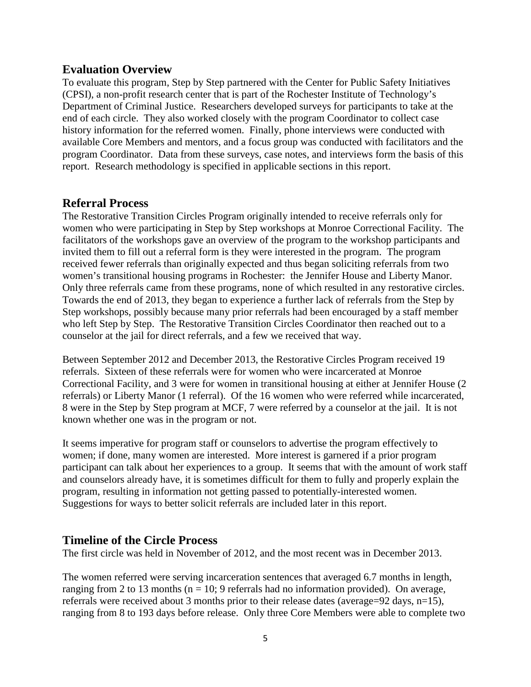#### **Evaluation Overview**

To evaluate this program, Step by Step partnered with the Center for Public Safety Initiatives (CPSI), a non-profit research center that is part of the Rochester Institute of Technology's Department of Criminal Justice. Researchers developed surveys for participants to take at the end of each circle. They also worked closely with the program Coordinator to collect case history information for the referred women. Finally, phone interviews were conducted with available Core Members and mentors, and a focus group was conducted with facilitators and the program Coordinator. Data from these surveys, case notes, and interviews form the basis of this report. Research methodology is specified in applicable sections in this report.

#### **Referral Process**

The Restorative Transition Circles Program originally intended to receive referrals only for women who were participating in Step by Step workshops at Monroe Correctional Facility. The facilitators of the workshops gave an overview of the program to the workshop participants and invited them to fill out a referral form is they were interested in the program. The program received fewer referrals than originally expected and thus began soliciting referrals from two women's transitional housing programs in Rochester: the Jennifer House and Liberty Manor. Only three referrals came from these programs, none of which resulted in any restorative circles. Towards the end of 2013, they began to experience a further lack of referrals from the Step by Step workshops, possibly because many prior referrals had been encouraged by a staff member who left Step by Step. The Restorative Transition Circles Coordinator then reached out to a counselor at the jail for direct referrals, and a few we received that way.

Between September 2012 and December 2013, the Restorative Circles Program received 19 referrals. Sixteen of these referrals were for women who were incarcerated at Monroe Correctional Facility, and 3 were for women in transitional housing at either at Jennifer House (2 referrals) or Liberty Manor (1 referral). Of the 16 women who were referred while incarcerated, 8 were in the Step by Step program at MCF, 7 were referred by a counselor at the jail. It is not known whether one was in the program or not.

It seems imperative for program staff or counselors to advertise the program effectively to women; if done, many women are interested. More interest is garnered if a prior program participant can talk about her experiences to a group. It seems that with the amount of work staff and counselors already have, it is sometimes difficult for them to fully and properly explain the program, resulting in information not getting passed to potentially-interested women. Suggestions for ways to better solicit referrals are included later in this report.

#### **Timeline of the Circle Process**

The first circle was held in November of 2012, and the most recent was in December 2013.

The women referred were serving incarceration sentences that averaged 6.7 months in length, ranging from 2 to 13 months ( $n = 10$ ; 9 referrals had no information provided). On average, referrals were received about 3 months prior to their release dates (average=92 days, n=15), ranging from 8 to 193 days before release. Only three Core Members were able to complete two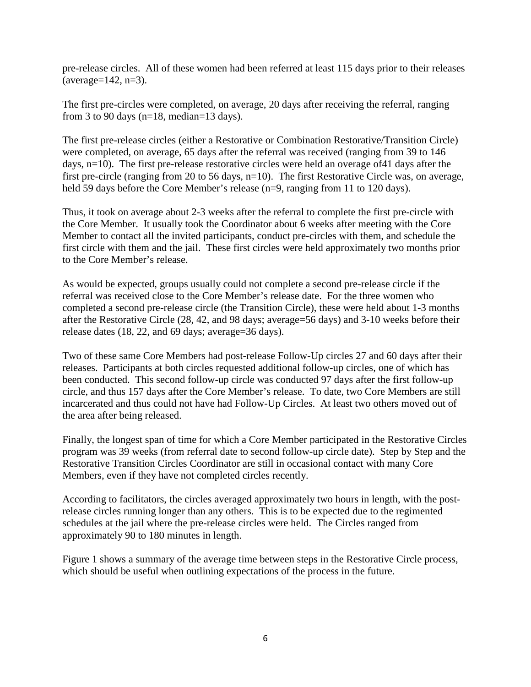pre-release circles. All of these women had been referred at least 115 days prior to their releases  $(average=142, n=3).$ 

The first pre-circles were completed, on average, 20 days after receiving the referral, ranging from 3 to 90 days ( $n=18$ , median=13 days).

The first pre-release circles (either a Restorative or Combination Restorative/Transition Circle) were completed, on average, 65 days after the referral was received (ranging from 39 to 146 days, n=10). The first pre-release restorative circles were held an overage of41 days after the first pre-circle (ranging from 20 to 56 days, n=10). The first Restorative Circle was, on average, held 59 days before the Core Member's release (n=9, ranging from 11 to 120 days).

Thus, it took on average about 2-3 weeks after the referral to complete the first pre-circle with the Core Member. It usually took the Coordinator about 6 weeks after meeting with the Core Member to contact all the invited participants, conduct pre-circles with them, and schedule the first circle with them and the jail. These first circles were held approximately two months prior to the Core Member's release.

As would be expected, groups usually could not complete a second pre-release circle if the referral was received close to the Core Member's release date. For the three women who completed a second pre-release circle (the Transition Circle), these were held about 1-3 months after the Restorative Circle (28, 42, and 98 days; average=56 days) and 3-10 weeks before their release dates (18, 22, and 69 days; average=36 days).

Two of these same Core Members had post-release Follow-Up circles 27 and 60 days after their releases. Participants at both circles requested additional follow-up circles, one of which has been conducted. This second follow-up circle was conducted 97 days after the first follow-up circle, and thus 157 days after the Core Member's release. To date, two Core Members are still incarcerated and thus could not have had Follow-Up Circles. At least two others moved out of the area after being released.

Finally, the longest span of time for which a Core Member participated in the Restorative Circles program was 39 weeks (from referral date to second follow-up circle date). Step by Step and the Restorative Transition Circles Coordinator are still in occasional contact with many Core Members, even if they have not completed circles recently.

According to facilitators, the circles averaged approximately two hours in length, with the postrelease circles running longer than any others. This is to be expected due to the regimented schedules at the jail where the pre-release circles were held. The Circles ranged from approximately 90 to 180 minutes in length.

Figure 1 shows a summary of the average time between steps in the Restorative Circle process, which should be useful when outlining expectations of the process in the future.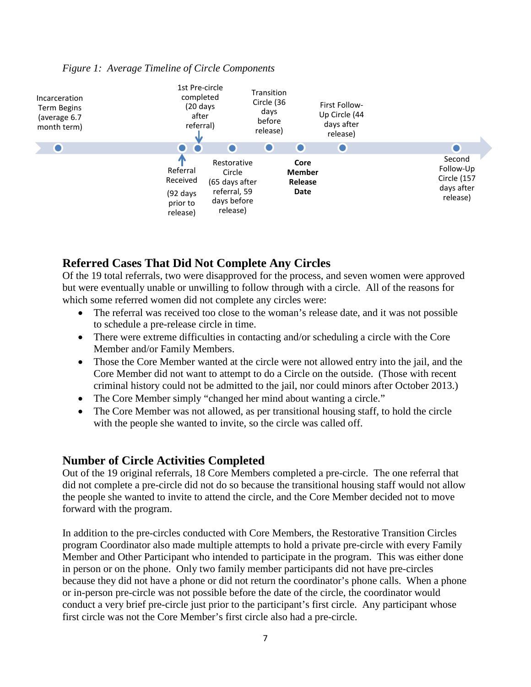#### *Figure 1: Average Timeline of Circle Components*



## **Referred Cases That Did Not Complete Any Circles**

Of the 19 total referrals, two were disapproved for the process, and seven women were approved but were eventually unable or unwilling to follow through with a circle. All of the reasons for which some referred women did not complete any circles were:

- The referral was received too close to the woman's release date, and it was not possible to schedule a pre-release circle in time.
- There were extreme difficulties in contacting and/or scheduling a circle with the Core Member and/or Family Members.
- Those the Core Member wanted at the circle were not allowed entry into the jail, and the Core Member did not want to attempt to do a Circle on the outside. (Those with recent criminal history could not be admitted to the jail, nor could minors after October 2013.)
- The Core Member simply "changed her mind about wanting a circle."
- The Core Member was not allowed, as per transitional housing staff, to hold the circle with the people she wanted to invite, so the circle was called off.

#### **Number of Circle Activities Completed**

Out of the 19 original referrals, 18 Core Members completed a pre-circle. The one referral that did not complete a pre-circle did not do so because the transitional housing staff would not allow the people she wanted to invite to attend the circle, and the Core Member decided not to move forward with the program.

In addition to the pre-circles conducted with Core Members, the Restorative Transition Circles program Coordinator also made multiple attempts to hold a private pre-circle with every Family Member and Other Participant who intended to participate in the program. This was either done in person or on the phone. Only two family member participants did not have pre-circles because they did not have a phone or did not return the coordinator's phone calls. When a phone or in-person pre-circle was not possible before the date of the circle, the coordinator would conduct a very brief pre-circle just prior to the participant's first circle. Any participant whose first circle was not the Core Member's first circle also had a pre-circle.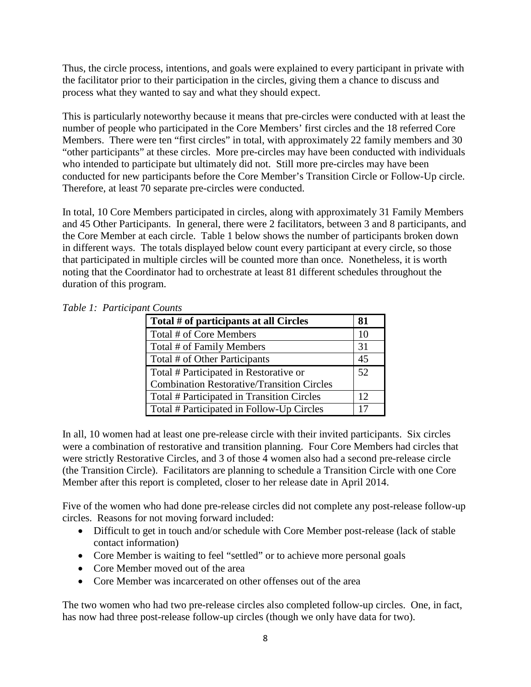Thus, the circle process, intentions, and goals were explained to every participant in private with the facilitator prior to their participation in the circles, giving them a chance to discuss and process what they wanted to say and what they should expect.

This is particularly noteworthy because it means that pre-circles were conducted with at least the number of people who participated in the Core Members' first circles and the 18 referred Core Members. There were ten "first circles" in total, with approximately 22 family members and 30 "other participants" at these circles. More pre-circles may have been conducted with individuals who intended to participate but ultimately did not. Still more pre-circles may have been conducted for new participants before the Core Member's Transition Circle or Follow-Up circle. Therefore, at least 70 separate pre-circles were conducted.

In total, 10 Core Members participated in circles, along with approximately 31 Family Members and 45 Other Participants. In general, there were 2 facilitators, between 3 and 8 participants, and the Core Member at each circle. Table 1 below shows the number of participants broken down in different ways. The totals displayed below count every participant at every circle, so those that participated in multiple circles will be counted more than once. Nonetheless, it is worth noting that the Coordinator had to orchestrate at least 81 different schedules throughout the duration of this program.

| Total # of participants at all Circles            | 81 |
|---------------------------------------------------|----|
| Total # of Core Members                           | 10 |
| Total # of Family Members                         | 31 |
| Total # of Other Participants                     | 45 |
| Total # Participated in Restorative or            | 52 |
| <b>Combination Restorative/Transition Circles</b> |    |
| Total # Participated in Transition Circles        | 12 |
| Total # Participated in Follow-Up Circles         | 17 |

*Table 1: Participant Counts*

In all, 10 women had at least one pre-release circle with their invited participants. Six circles were a combination of restorative and transition planning. Four Core Members had circles that were strictly Restorative Circles, and 3 of those 4 women also had a second pre-release circle (the Transition Circle). Facilitators are planning to schedule a Transition Circle with one Core Member after this report is completed, closer to her release date in April 2014.

Five of the women who had done pre-release circles did not complete any post-release follow-up circles. Reasons for not moving forward included:

- Difficult to get in touch and/or schedule with Core Member post-release (lack of stable contact information)
- Core Member is waiting to feel "settled" or to achieve more personal goals
- Core Member moved out of the area
- Core Member was incarcerated on other offenses out of the area

The two women who had two pre-release circles also completed follow-up circles. One, in fact, has now had three post-release follow-up circles (though we only have data for two).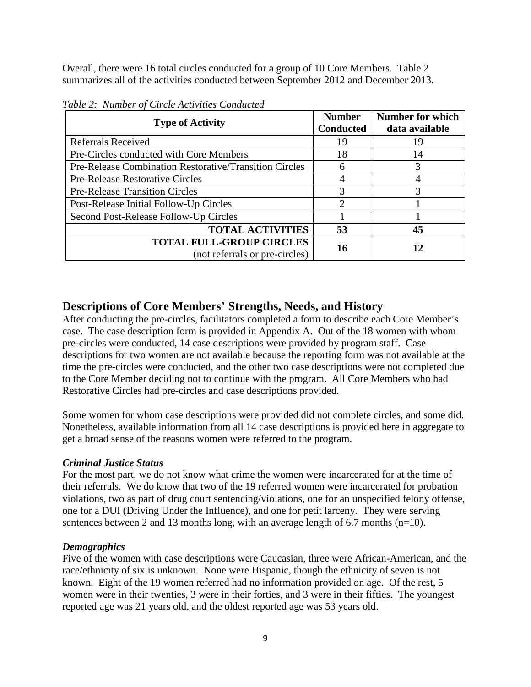Overall, there were 16 total circles conducted for a group of 10 Core Members. Table 2 summarizes all of the activities conducted between September 2012 and December 2013.

| <b>Type of Activity</b>                                           | <b>Number</b><br><b>Conducted</b> | <b>Number for which</b><br>data available |
|-------------------------------------------------------------------|-----------------------------------|-------------------------------------------|
| <b>Referrals Received</b>                                         | 19                                | 19                                        |
| Pre-Circles conducted with Core Members                           | 18                                | 14                                        |
| Pre-Release Combination Restorative/Transition Circles            | 6                                 | 3                                         |
| <b>Pre-Release Restorative Circles</b>                            |                                   |                                           |
| <b>Pre-Release Transition Circles</b>                             | 3                                 | 3                                         |
| Post-Release Initial Follow-Up Circles                            | $\mathcal{D}$                     |                                           |
| Second Post-Release Follow-Up Circles                             |                                   |                                           |
| <b>TOTAL ACTIVITIES</b>                                           | 53                                | 45                                        |
| <b>TOTAL FULL-GROUP CIRCLES</b><br>(not referrals or pre-circles) | 16                                | 12                                        |

*Table 2: Number of Circle Activities Conducted*

## **Descriptions of Core Members' Strengths, Needs, and History**

After conducting the pre-circles, facilitators completed a form to describe each Core Member's case. The case description form is provided in Appendix A. Out of the 18 women with whom pre-circles were conducted, 14 case descriptions were provided by program staff. Case descriptions for two women are not available because the reporting form was not available at the time the pre-circles were conducted, and the other two case descriptions were not completed due to the Core Member deciding not to continue with the program. All Core Members who had Restorative Circles had pre-circles and case descriptions provided.

Some women for whom case descriptions were provided did not complete circles, and some did. Nonetheless, available information from all 14 case descriptions is provided here in aggregate to get a broad sense of the reasons women were referred to the program.

#### *Criminal Justice Status*

For the most part, we do not know what crime the women were incarcerated for at the time of their referrals. We do know that two of the 19 referred women were incarcerated for probation violations, two as part of drug court sentencing/violations, one for an unspecified felony offense, one for a DUI (Driving Under the Influence), and one for petit larceny. They were serving sentences between 2 and 13 months long, with an average length of 6.7 months (n=10).

#### *Demographics*

Five of the women with case descriptions were Caucasian, three were African-American, and the race/ethnicity of six is unknown. None were Hispanic, though the ethnicity of seven is not known. Eight of the 19 women referred had no information provided on age. Of the rest, 5 women were in their twenties, 3 were in their forties, and 3 were in their fifties. The youngest reported age was 21 years old, and the oldest reported age was 53 years old.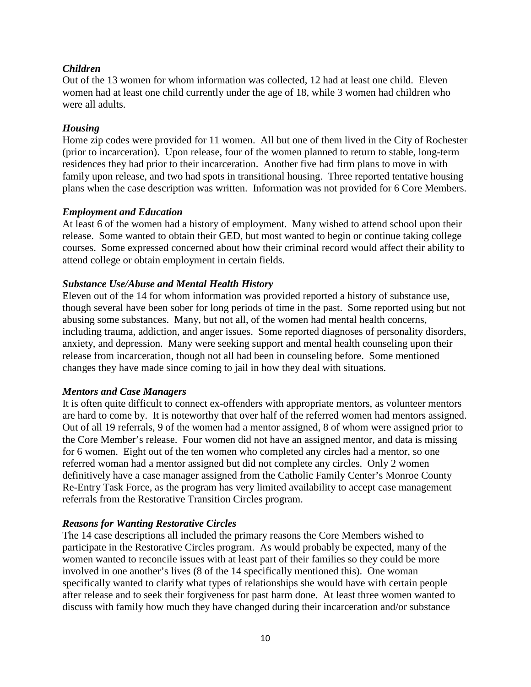#### *Children*

Out of the 13 women for whom information was collected, 12 had at least one child. Eleven women had at least one child currently under the age of 18, while 3 women had children who were all adults.

#### *Housing*

Home zip codes were provided for 11 women. All but one of them lived in the City of Rochester (prior to incarceration). Upon release, four of the women planned to return to stable, long-term residences they had prior to their incarceration. Another five had firm plans to move in with family upon release, and two had spots in transitional housing. Three reported tentative housing plans when the case description was written. Information was not provided for 6 Core Members.

#### *Employment and Education*

At least 6 of the women had a history of employment. Many wished to attend school upon their release. Some wanted to obtain their GED, but most wanted to begin or continue taking college courses. Some expressed concerned about how their criminal record would affect their ability to attend college or obtain employment in certain fields.

#### *Substance Use/Abuse and Mental Health History*

Eleven out of the 14 for whom information was provided reported a history of substance use, though several have been sober for long periods of time in the past. Some reported using but not abusing some substances. Many, but not all, of the women had mental health concerns, including trauma, addiction, and anger issues. Some reported diagnoses of personality disorders, anxiety, and depression. Many were seeking support and mental health counseling upon their release from incarceration, though not all had been in counseling before. Some mentioned changes they have made since coming to jail in how they deal with situations.

#### *Mentors and Case Managers*

It is often quite difficult to connect ex-offenders with appropriate mentors, as volunteer mentors are hard to come by. It is noteworthy that over half of the referred women had mentors assigned. Out of all 19 referrals, 9 of the women had a mentor assigned, 8 of whom were assigned prior to the Core Member's release. Four women did not have an assigned mentor, and data is missing for 6 women. Eight out of the ten women who completed any circles had a mentor, so one referred woman had a mentor assigned but did not complete any circles. Only 2 women definitively have a case manager assigned from the Catholic Family Center's Monroe County Re-Entry Task Force, as the program has very limited availability to accept case management referrals from the Restorative Transition Circles program.

#### *Reasons for Wanting Restorative Circles*

The 14 case descriptions all included the primary reasons the Core Members wished to participate in the Restorative Circles program. As would probably be expected, many of the women wanted to reconcile issues with at least part of their families so they could be more involved in one another's lives (8 of the 14 specifically mentioned this). One woman specifically wanted to clarify what types of relationships she would have with certain people after release and to seek their forgiveness for past harm done. At least three women wanted to discuss with family how much they have changed during their incarceration and/or substance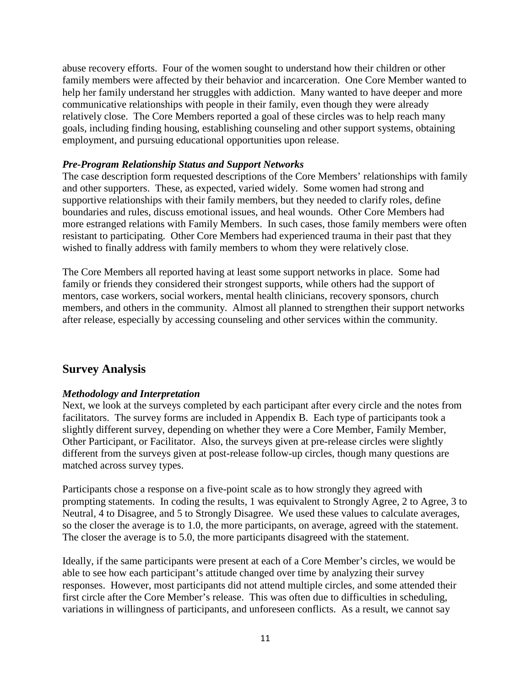abuse recovery efforts. Four of the women sought to understand how their children or other family members were affected by their behavior and incarceration. One Core Member wanted to help her family understand her struggles with addiction. Many wanted to have deeper and more communicative relationships with people in their family, even though they were already relatively close. The Core Members reported a goal of these circles was to help reach many goals, including finding housing, establishing counseling and other support systems, obtaining employment, and pursuing educational opportunities upon release.

#### *Pre-Program Relationship Status and Support Networks*

The case description form requested descriptions of the Core Members' relationships with family and other supporters. These, as expected, varied widely. Some women had strong and supportive relationships with their family members, but they needed to clarify roles, define boundaries and rules, discuss emotional issues, and heal wounds. Other Core Members had more estranged relations with Family Members. In such cases, those family members were often resistant to participating. Other Core Members had experienced trauma in their past that they wished to finally address with family members to whom they were relatively close.

The Core Members all reported having at least some support networks in place. Some had family or friends they considered their strongest supports, while others had the support of mentors, case workers, social workers, mental health clinicians, recovery sponsors, church members, and others in the community. Almost all planned to strengthen their support networks after release, especially by accessing counseling and other services within the community.

## **Survey Analysis**

#### *Methodology and Interpretation*

Next, we look at the surveys completed by each participant after every circle and the notes from facilitators. The survey forms are included in Appendix B. Each type of participants took a slightly different survey, depending on whether they were a Core Member, Family Member, Other Participant, or Facilitator. Also, the surveys given at pre-release circles were slightly different from the surveys given at post-release follow-up circles, though many questions are matched across survey types.

Participants chose a response on a five-point scale as to how strongly they agreed with prompting statements. In coding the results, 1 was equivalent to Strongly Agree, 2 to Agree, 3 to Neutral, 4 to Disagree, and 5 to Strongly Disagree. We used these values to calculate averages, so the closer the average is to 1.0, the more participants, on average, agreed with the statement. The closer the average is to 5.0, the more participants disagreed with the statement.

Ideally, if the same participants were present at each of a Core Member's circles, we would be able to see how each participant's attitude changed over time by analyzing their survey responses. However, most participants did not attend multiple circles, and some attended their first circle after the Core Member's release. This was often due to difficulties in scheduling, variations in willingness of participants, and unforeseen conflicts. As a result, we cannot say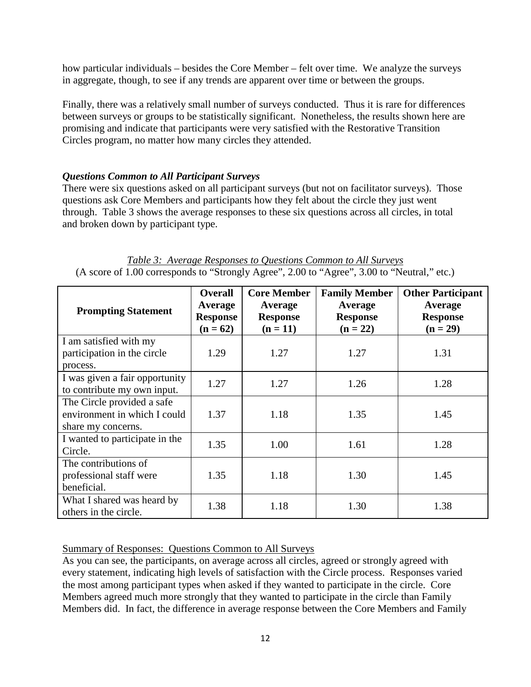how particular individuals – besides the Core Member – felt over time. We analyze the surveys in aggregate, though, to see if any trends are apparent over time or between the groups.

Finally, there was a relatively small number of surveys conducted. Thus it is rare for differences between surveys or groups to be statistically significant. Nonetheless, the results shown here are promising and indicate that participants were very satisfied with the Restorative Transition Circles program, no matter how many circles they attended.

#### *Questions Common to All Participant Surveys*

There were six questions asked on all participant surveys (but not on facilitator surveys). Those questions ask Core Members and participants how they felt about the circle they just went through. Table 3 shows the average responses to these six questions across all circles, in total and broken down by participant type.

|  |  | Table 3: Average Responses to Questions Common to All Surveys                               |  |  |
|--|--|---------------------------------------------------------------------------------------------|--|--|
|  |  | (A score of 1.00 corresponds to "Strongly Agree", 2.00 to "Agree", 3.00 to "Neutral," etc.) |  |  |

| <b>Prompting Statement</b>                                                       | <b>Overall</b><br>Average<br><b>Response</b><br>$(n = 62)$ | <b>Core Member</b><br>Average<br><b>Response</b><br>$(n = 11)$ | <b>Family Member</b><br>Average<br><b>Response</b><br>$(n = 22)$ | <b>Other Participant</b><br>Average<br><b>Response</b><br>$(n = 29)$ |
|----------------------------------------------------------------------------------|------------------------------------------------------------|----------------------------------------------------------------|------------------------------------------------------------------|----------------------------------------------------------------------|
| I am satisfied with my<br>participation in the circle<br>process.                | 1.29                                                       | 1.27                                                           | 1.27                                                             | 1.31                                                                 |
| I was given a fair opportunity<br>to contribute my own input.                    | 1.27                                                       | 1.27                                                           | 1.26                                                             | 1.28                                                                 |
| The Circle provided a safe<br>environment in which I could<br>share my concerns. | 1.37                                                       | 1.18                                                           | 1.35                                                             | 1.45                                                                 |
| I wanted to participate in the<br>Circle.                                        | 1.35                                                       | 1.00                                                           | 1.61                                                             | 1.28                                                                 |
| The contributions of<br>professional staff were<br>beneficial.                   | 1.35                                                       | 1.18                                                           | 1.30                                                             | 1.45                                                                 |
| What I shared was heard by<br>others in the circle.                              | 1.38                                                       | 1.18                                                           | 1.30                                                             | 1.38                                                                 |

#### Summary of Responses: Questions Common to All Surveys

As you can see, the participants, on average across all circles, agreed or strongly agreed with every statement, indicating high levels of satisfaction with the Circle process. Responses varied the most among participant types when asked if they wanted to participate in the circle. Core Members agreed much more strongly that they wanted to participate in the circle than Family Members did. In fact, the difference in average response between the Core Members and Family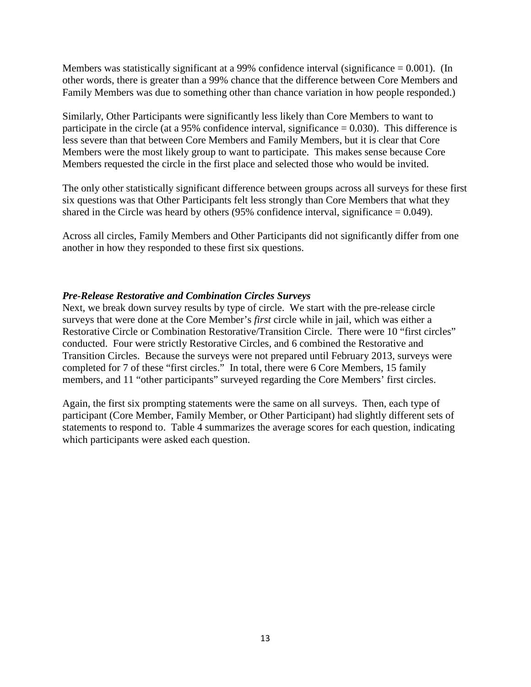Members was statistically significant at a 99% confidence interval (significance  $= 0.001$ ). (In other words, there is greater than a 99% chance that the difference between Core Members and Family Members was due to something other than chance variation in how people responded.)

Similarly, Other Participants were significantly less likely than Core Members to want to participate in the circle (at a 95% confidence interval, significance  $= 0.030$ ). This difference is less severe than that between Core Members and Family Members, but it is clear that Core Members were the most likely group to want to participate. This makes sense because Core Members requested the circle in the first place and selected those who would be invited.

The only other statistically significant difference between groups across all surveys for these first six questions was that Other Participants felt less strongly than Core Members that what they shared in the Circle was heard by others  $(95\%$  confidence interval, significance = 0.049).

Across all circles, Family Members and Other Participants did not significantly differ from one another in how they responded to these first six questions.

#### *Pre-Release Restorative and Combination Circles Surveys*

Next, we break down survey results by type of circle. We start with the pre-release circle surveys that were done at the Core Member's *first* circle while in jail, which was either a Restorative Circle or Combination Restorative/Transition Circle. There were 10 "first circles" conducted. Four were strictly Restorative Circles, and 6 combined the Restorative and Transition Circles. Because the surveys were not prepared until February 2013, surveys were completed for 7 of these "first circles." In total, there were 6 Core Members, 15 family members, and 11 "other participants" surveyed regarding the Core Members' first circles.

Again, the first six prompting statements were the same on all surveys. Then, each type of participant (Core Member, Family Member, or Other Participant) had slightly different sets of statements to respond to. Table 4 summarizes the average scores for each question, indicating which participants were asked each question.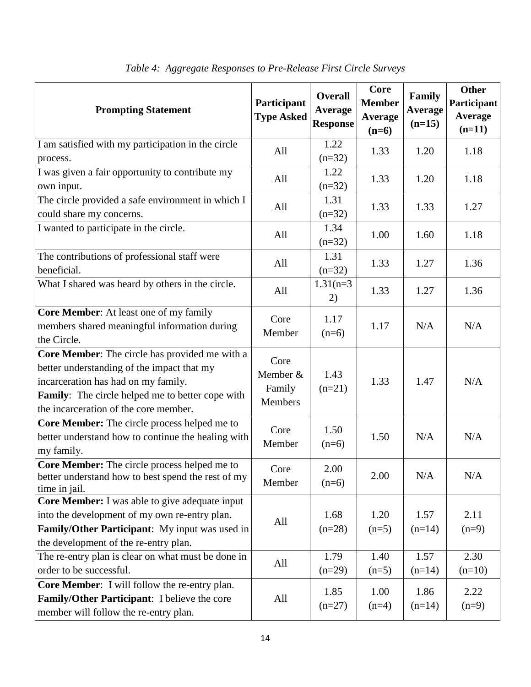| <b>Prompting Statement</b>                                                                                                                                                                                                       | Participant<br><b>Type Asked</b>             | <b>Overall</b><br>Average<br><b>Response</b> | Core<br><b>Member</b><br>Average<br>$(n=6)$ | Family<br><b>Average</b><br>$(n=15)$ | <b>Other</b><br>Participant<br><b>Average</b><br>$(n=11)$ |
|----------------------------------------------------------------------------------------------------------------------------------------------------------------------------------------------------------------------------------|----------------------------------------------|----------------------------------------------|---------------------------------------------|--------------------------------------|-----------------------------------------------------------|
| I am satisfied with my participation in the circle                                                                                                                                                                               | All                                          | 1.22                                         | 1.33                                        | 1.20                                 | 1.18                                                      |
| process.                                                                                                                                                                                                                         |                                              | $(n=32)$                                     |                                             |                                      |                                                           |
| I was given a fair opportunity to contribute my<br>own input.                                                                                                                                                                    | All                                          | 1.22<br>$(n=32)$                             | 1.33                                        | 1.20                                 | 1.18                                                      |
| The circle provided a safe environment in which I<br>could share my concerns.                                                                                                                                                    | All                                          | 1.31<br>$(n=32)$                             | 1.33                                        | 1.33                                 | 1.27                                                      |
| I wanted to participate in the circle.                                                                                                                                                                                           | All                                          | 1.34<br>$(n=32)$                             | 1.00                                        | 1.60                                 | 1.18                                                      |
| The contributions of professional staff were<br>beneficial.                                                                                                                                                                      | All                                          | 1.31<br>$(n=32)$                             | 1.33                                        | 1.27                                 | 1.36                                                      |
| What I shared was heard by others in the circle.                                                                                                                                                                                 | All                                          | $1.31(n=3)$<br>2)                            | 1.33                                        | 1.27                                 | 1.36                                                      |
| Core Member: At least one of my family<br>members shared meaningful information during<br>the Circle.                                                                                                                            | Core<br>Member                               | 1.17<br>$(n=6)$                              | 1.17                                        | N/A                                  | N/A                                                       |
| Core Member: The circle has provided me with a<br>better understanding of the impact that my<br>incarceration has had on my family.<br>Family: The circle helped me to better cope with<br>the incarceration of the core member. | Core<br>Member &<br>Family<br><b>Members</b> | 1.43<br>$(n=21)$                             | 1.33                                        | 1.47                                 | N/A                                                       |
| Core Member: The circle process helped me to<br>better understand how to continue the healing with<br>my family.                                                                                                                 | Core<br>Member                               | 1.50<br>$(n=6)$                              | 1.50                                        | N/A                                  | N/A                                                       |
| Core Member: The circle process helped me to<br>better understand how to best spend the rest of my<br>time in jail.                                                                                                              | Core<br>Member                               | 2.00<br>$(n=6)$                              | 2.00                                        | N/A                                  | N/A                                                       |
| Core Member: I was able to give adequate input<br>into the development of my own re-entry plan.<br>Family/Other Participant: My input was used in<br>the development of the re-entry plan.                                       | All                                          | 1.68<br>$(n=28)$                             | 1.20<br>$(n=5)$                             | 1.57<br>$(n=14)$                     | 2.11<br>$(n=9)$                                           |
| The re-entry plan is clear on what must be done in<br>order to be successful.                                                                                                                                                    | All                                          | 1.79<br>$(n=29)$                             | 1.40<br>$(n=5)$                             | 1.57<br>$(n=14)$                     | 2.30<br>$(n=10)$                                          |
| Core Member: I will follow the re-entry plan.<br>Family/Other Participant: I believe the core<br>member will follow the re-entry plan.                                                                                           | All                                          | 1.85<br>$(n=27)$                             | 1.00<br>$(n=4)$                             | 1.86<br>$(n=14)$                     | 2.22<br>$(n=9)$                                           |

| Table 4: Aggregate Responses to Pre-Release First Circle Surveys |  |
|------------------------------------------------------------------|--|
|                                                                  |  |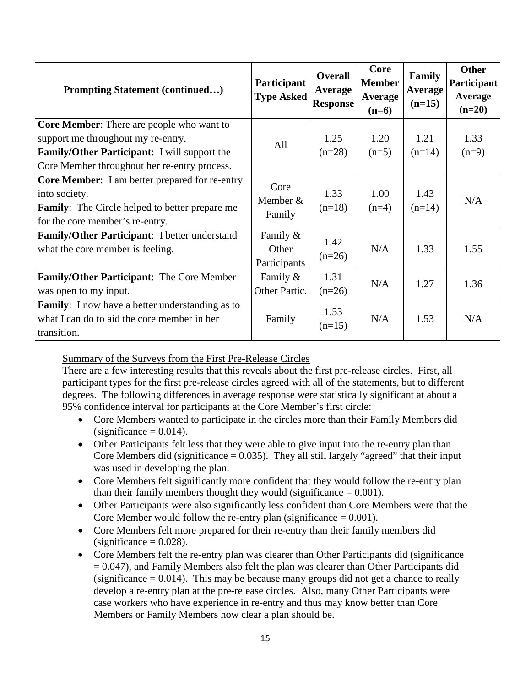| <b>Prompting Statement (continued)</b>                                                                                                                                                 | Participant<br><b>Type Asked</b>  | <b>Overall</b><br>Average<br><b>Response</b> | Core<br><b>Member</b><br>Average<br>$(n=6)$ | Family<br>Average<br>$(n=15)$ | <b>Other</b><br>Participant<br>Average<br>$(n=20)$ |
|----------------------------------------------------------------------------------------------------------------------------------------------------------------------------------------|-----------------------------------|----------------------------------------------|---------------------------------------------|-------------------------------|----------------------------------------------------|
| <b>Core Member:</b> There are people who want to<br>support me throughout my re-entry.<br>Family/Other Participant: I will support the<br>Core Member throughout her re-entry process. | All                               | 1.25<br>$(n=28)$                             | 1.20<br>$(n=5)$                             | 1.21<br>$(n=14)$              | 1.33<br>$(n=9)$                                    |
| <b>Core Member:</b> I am better prepared for re-entry<br>into society.<br><b>Family:</b> The Circle helped to better prepare me<br>for the core member's re-entry.                     | Core<br>Member &<br>Family        | 1.33<br>$(n=18)$                             | 1.00<br>$(n=4)$                             | 1.43<br>$(n=14)$              | N/A                                                |
| <b>Family/Other Participant:</b> I better understand<br>what the core member is feeling.                                                                                               | Family &<br>Other<br>Participants | 1.42<br>$(n=26)$                             | N/A                                         | 1.33                          | 1.55                                               |
| Family/Other Participant: The Core Member<br>was open to my input.                                                                                                                     | Family &<br>Other Partic.         | 1.31<br>$(n=26)$                             | N/A                                         | 1.27                          | 1.36                                               |
| <b>Family:</b> I now have a better understanding as to<br>what I can do to aid the core member in her<br>transition.                                                                   | Family                            | 1.53<br>$(n=15)$                             | N/A                                         | 1.53                          | N/A                                                |

Summary of the Surveys from the First Pre-Release Circles

There are a few interesting results that this reveals about the first pre-release circles. First, all participant types for the first pre-release circles agreed with all of the statements, but to different degrees. The following differences in average response were statistically significant at about a 95% confidence interval for participants at the Core Member's first circle:

- Core Members wanted to participate in the circles more than their Family Members did  $(significance = 0.014)$ .
- Other Participants felt less that they were able to give input into the re-entry plan than Core Members did (significance  $= 0.035$ ). They all still largely "agreed" that their input was used in developing the plan.
- Core Members felt significantly more confident that they would follow the re-entry plan than their family members thought they would (significance  $= 0.001$ ).
- Other Participants were also significantly less confident than Core Members were that the Core Member would follow the re-entry plan (significance  $= 0.001$ ).
- Core Members felt more prepared for their re-entry than their family members did  $(significance = 0.028)$ .
- Core Members felt the re-entry plan was clearer than Other Participants did (significance  $= 0.047$ ), and Family Members also felt the plan was clearer than Other Participants did (significance  $= 0.014$ ). This may be because many groups did not get a chance to really develop a re-entry plan at the pre-release circles. Also, many Other Participants were case workers who have experience in re-entry and thus may know better than Core Members or Family Members how clear a plan should be.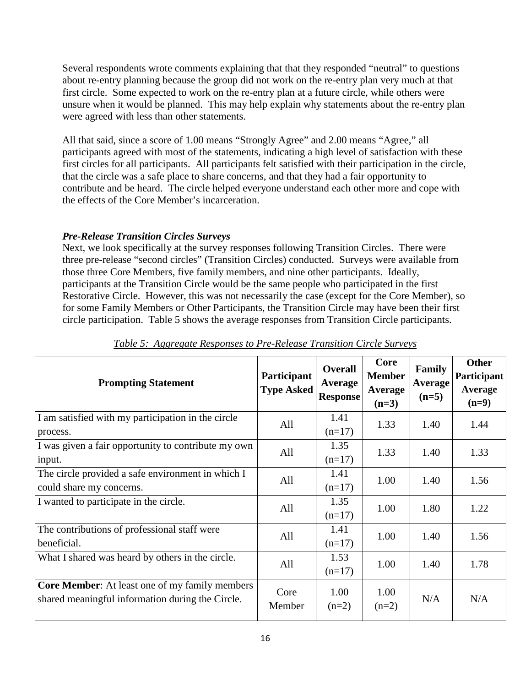Several respondents wrote comments explaining that that they responded "neutral" to questions about re-entry planning because the group did not work on the re-entry plan very much at that first circle. Some expected to work on the re-entry plan at a future circle, while others were unsure when it would be planned. This may help explain why statements about the re-entry plan were agreed with less than other statements.

All that said, since a score of 1.00 means "Strongly Agree" and 2.00 means "Agree," all participants agreed with most of the statements, indicating a high level of satisfaction with these first circles for all participants. All participants felt satisfied with their participation in the circle, that the circle was a safe place to share concerns, and that they had a fair opportunity to contribute and be heard. The circle helped everyone understand each other more and cope with the effects of the Core Member's incarceration.

#### *Pre-Release Transition Circles Surveys*

Next, we look specifically at the survey responses following Transition Circles. There were three pre-release "second circles" (Transition Circles) conducted. Surveys were available from those three Core Members, five family members, and nine other participants. Ideally, participants at the Transition Circle would be the same people who participated in the first Restorative Circle. However, this was not necessarily the case (except for the Core Member), so for some Family Members or Other Participants, the Transition Circle may have been their first circle participation. Table 5 shows the average responses from Transition Circle participants.

| <b>Prompting Statement</b>                                                                                | Participant<br><b>Type Asked</b> | <b>Overall</b><br>Average<br><b>Response</b> | Core<br><b>Member</b><br>Average<br>$(n=3)$ | Family<br><b>Average</b><br>$(n=5)$ | <b>Other</b><br>Participant<br>Average<br>$(n=9)$ |
|-----------------------------------------------------------------------------------------------------------|----------------------------------|----------------------------------------------|---------------------------------------------|-------------------------------------|---------------------------------------------------|
| I am satisfied with my participation in the circle<br>process.                                            | All                              | 1.41<br>$(n=17)$                             | 1.33                                        | 1.40                                | 1.44                                              |
| I was given a fair opportunity to contribute my own<br>input.                                             | All                              | 1.35<br>$(n=17)$                             | 1.33                                        | 1.40                                | 1.33                                              |
| The circle provided a safe environment in which I<br>could share my concerns.                             | All                              | 1.41<br>$(n=17)$                             | 1.00                                        | 1.40                                | 1.56                                              |
| I wanted to participate in the circle.                                                                    | All                              | 1.35<br>$(n=17)$                             | 1.00                                        | 1.80                                | 1.22                                              |
| The contributions of professional staff were<br>beneficial.                                               | All                              | 1.41<br>$(n=17)$                             | 1.00                                        | 1.40                                | 1.56                                              |
| What I shared was heard by others in the circle.                                                          | All                              | 1.53<br>$(n=17)$                             | 1.00                                        | 1.40                                | 1.78                                              |
| <b>Core Member:</b> At least one of my family members<br>shared meaningful information during the Circle. | Core<br>Member                   | 1.00<br>$(n=2)$                              | 1.00<br>$(n=2)$                             | N/A                                 | N/A                                               |

*Table 5: Aggregate Responses to Pre-Release Transition Circle Surveys*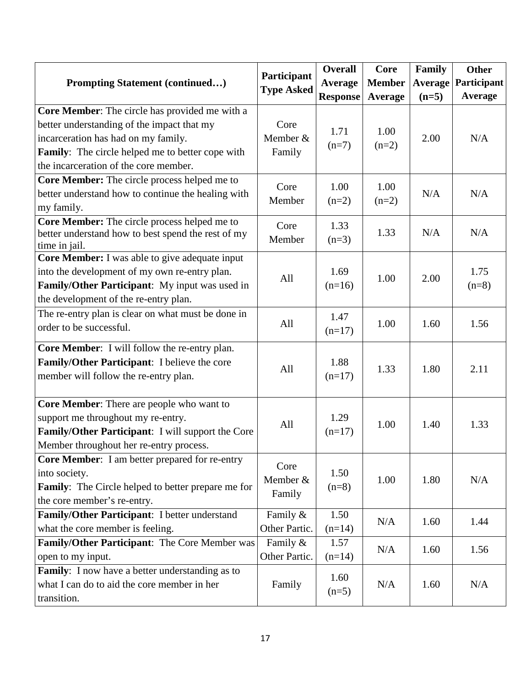|                                                                 | Participant       | <b>Overall</b>  | Core          | Family         | Other          |
|-----------------------------------------------------------------|-------------------|-----------------|---------------|----------------|----------------|
| <b>Prompting Statement (continued)</b>                          | <b>Type Asked</b> | Average         | <b>Member</b> | <b>Average</b> | Participant    |
|                                                                 |                   | <b>Response</b> | Average       | $(n=5)$        | <b>Average</b> |
| Core Member: The circle has provided me with a                  |                   |                 |               |                |                |
| better understanding of the impact that my                      | Core              | 1.71            | 1.00          |                |                |
| incarceration has had on my family.                             | Member &          | $(n=7)$         | $(n=2)$       | 2.00           | N/A            |
| Family: The circle helped me to better cope with                | Family            |                 |               |                |                |
| the incarceration of the core member.                           |                   |                 |               |                |                |
| Core Member: The circle process helped me to                    | Core              | 1.00            | 1.00          |                |                |
| better understand how to continue the healing with              | Member            | $(n=2)$         | $(n=2)$       | N/A            | N/A            |
| my family.                                                      |                   |                 |               |                |                |
| Core Member: The circle process helped me to                    | Core              | 1.33            |               |                |                |
| better understand how to best spend the rest of my              | Member            | $(n=3)$         | 1.33          | N/A            | N/A            |
| time in jail.<br>Core Member: I was able to give adequate input |                   |                 |               |                |                |
| into the development of my own re-entry plan.                   |                   | 1.69            |               |                | 1.75           |
| Family/Other Participant: My input was used in                  | All               | $(n=16)$        | 1.00          | 2.00           | $(n=8)$        |
| the development of the re-entry plan.                           |                   |                 |               |                |                |
| The re-entry plan is clear on what must be done in              |                   |                 |               |                |                |
| order to be successful.                                         | All               | 1.47            | 1.00          | 1.60           | 1.56           |
|                                                                 |                   | $(n=17)$        |               |                |                |
| Core Member: I will follow the re-entry plan.                   |                   |                 |               |                |                |
| Family/Other Participant: I believe the core                    | All               | 1.88            | 1.33          | 1.80           | 2.11           |
| member will follow the re-entry plan.                           |                   | $(n=17)$        |               |                |                |
|                                                                 |                   |                 |               |                |                |
| Core Member: There are people who want to                       |                   |                 |               |                |                |
| support me throughout my re-entry.                              | All               | 1.29            | 1.00          | 1.40           | 1.33           |
| Family/Other Participant: I will support the Core               |                   | $(n=17)$        |               |                |                |
| Member throughout her re-entry process.                         |                   |                 |               |                |                |
| <b>Core Member:</b> I am better prepared for re-entry           | Core              |                 |               |                |                |
| into society.                                                   | Member &          | 1.50            | 1.00          | 1.80           | N/A            |
| <b>Family:</b> The Circle helped to better prepare me for       | Family            | $(n=8)$         |               |                |                |
| the core member's re-entry.                                     |                   |                 |               |                |                |
| Family/Other Participant: I better understand                   | Family &          | 1.50            | N/A           | 1.60           | 1.44           |
| what the core member is feeling.                                | Other Partic.     | $(n=14)$        |               |                |                |
| Family/Other Participant: The Core Member was                   | Family &          | 1.57            | N/A           | 1.60           | 1.56           |
| open to my input.                                               | Other Partic.     | $(n=14)$        |               |                |                |
| Family: I now have a better understanding as to                 |                   | 1.60            |               |                |                |
| what I can do to aid the core member in her                     | Family            | $(n=5)$         | N/A           | 1.60           | N/A            |
| transition.                                                     |                   |                 |               |                |                |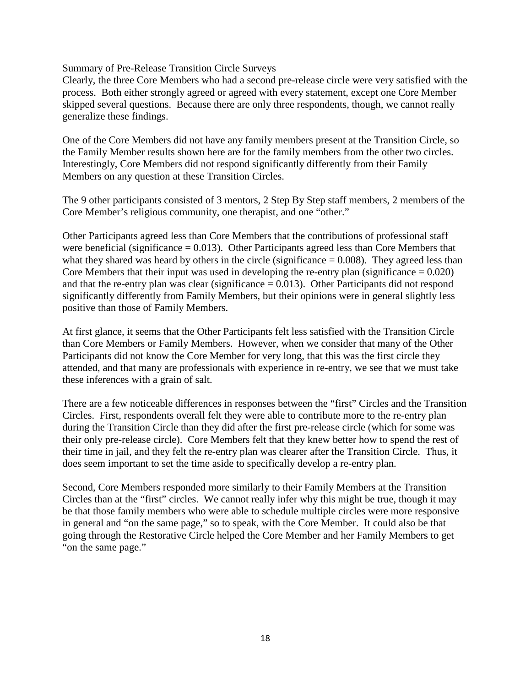#### Summary of Pre-Release Transition Circle Surveys

Clearly, the three Core Members who had a second pre-release circle were very satisfied with the process. Both either strongly agreed or agreed with every statement, except one Core Member skipped several questions. Because there are only three respondents, though, we cannot really generalize these findings.

One of the Core Members did not have any family members present at the Transition Circle, so the Family Member results shown here are for the family members from the other two circles. Interestingly, Core Members did not respond significantly differently from their Family Members on any question at these Transition Circles.

The 9 other participants consisted of 3 mentors, 2 Step By Step staff members, 2 members of the Core Member's religious community, one therapist, and one "other."

Other Participants agreed less than Core Members that the contributions of professional staff were beneficial (significance  $= 0.013$ ). Other Participants agreed less than Core Members that what they shared was heard by others in the circle (significance  $= 0.008$ ). They agreed less than Core Members that their input was used in developing the re-entry plan (significance  $= 0.020$ ) and that the re-entry plan was clear (significance  $= 0.013$ ). Other Participants did not respond significantly differently from Family Members, but their opinions were in general slightly less positive than those of Family Members.

At first glance, it seems that the Other Participants felt less satisfied with the Transition Circle than Core Members or Family Members. However, when we consider that many of the Other Participants did not know the Core Member for very long, that this was the first circle they attended, and that many are professionals with experience in re-entry, we see that we must take these inferences with a grain of salt.

There are a few noticeable differences in responses between the "first" Circles and the Transition Circles. First, respondents overall felt they were able to contribute more to the re-entry plan during the Transition Circle than they did after the first pre-release circle (which for some was their only pre-release circle). Core Members felt that they knew better how to spend the rest of their time in jail, and they felt the re-entry plan was clearer after the Transition Circle. Thus, it does seem important to set the time aside to specifically develop a re-entry plan.

Second, Core Members responded more similarly to their Family Members at the Transition Circles than at the "first" circles. We cannot really infer why this might be true, though it may be that those family members who were able to schedule multiple circles were more responsive in general and "on the same page," so to speak, with the Core Member. It could also be that going through the Restorative Circle helped the Core Member and her Family Members to get "on the same page."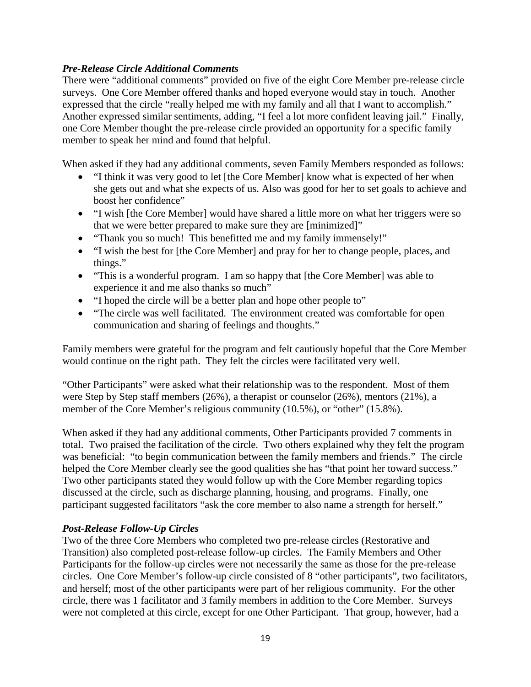#### *Pre-Release Circle Additional Comments*

There were "additional comments" provided on five of the eight Core Member pre-release circle surveys. One Core Member offered thanks and hoped everyone would stay in touch. Another expressed that the circle "really helped me with my family and all that I want to accomplish." Another expressed similar sentiments, adding, "I feel a lot more confident leaving jail." Finally, one Core Member thought the pre-release circle provided an opportunity for a specific family member to speak her mind and found that helpful.

When asked if they had any additional comments, seven Family Members responded as follows:

- "I think it was very good to let [the Core Member] know what is expected of her when she gets out and what she expects of us. Also was good for her to set goals to achieve and boost her confidence"
- "I wish [the Core Member] would have shared a little more on what her triggers were so that we were better prepared to make sure they are [minimized]"
- "Thank you so much! This benefitted me and my family immensely!"
- "I wish the best for [the Core Member] and pray for her to change people, places, and things."
- "This is a wonderful program. I am so happy that [the Core Member] was able to experience it and me also thanks so much"
- "I hoped the circle will be a better plan and hope other people to"
- "The circle was well facilitated. The environment created was comfortable for open communication and sharing of feelings and thoughts."

Family members were grateful for the program and felt cautiously hopeful that the Core Member would continue on the right path. They felt the circles were facilitated very well.

"Other Participants" were asked what their relationship was to the respondent. Most of them were Step by Step staff members (26%), a therapist or counselor (26%), mentors (21%), a member of the Core Member's religious community (10.5%), or "other" (15.8%).

When asked if they had any additional comments, Other Participants provided 7 comments in total. Two praised the facilitation of the circle. Two others explained why they felt the program was beneficial: "to begin communication between the family members and friends." The circle helped the Core Member clearly see the good qualities she has "that point her toward success." Two other participants stated they would follow up with the Core Member regarding topics discussed at the circle, such as discharge planning, housing, and programs. Finally, one participant suggested facilitators "ask the core member to also name a strength for herself."

#### *Post-Release Follow-Up Circles*

Two of the three Core Members who completed two pre-release circles (Restorative and Transition) also completed post-release follow-up circles. The Family Members and Other Participants for the follow-up circles were not necessarily the same as those for the pre-release circles. One Core Member's follow-up circle consisted of 8 "other participants", two facilitators, and herself; most of the other participants were part of her religious community. For the other circle, there was 1 facilitator and 3 family members in addition to the Core Member. Surveys were not completed at this circle, except for one Other Participant. That group, however, had a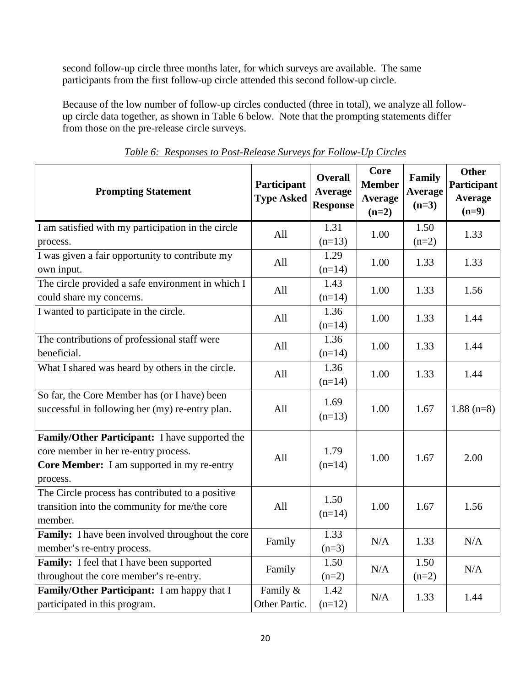second follow-up circle three months later, for which surveys are available. The same participants from the first follow-up circle attended this second follow-up circle.

Because of the low number of follow-up circles conducted (three in total), we analyze all followup circle data together, as shown in Table 6 below. Note that the prompting statements differ from those on the pre-release circle surveys.

| <b>Prompting Statement</b>                                                                                                                       | Participant<br><b>Type Asked</b> | <b>Overall</b><br>Average<br><b>Response</b> | <b>Core</b><br><b>Member</b><br>Average<br>$(n=2)$ | Family<br>Average<br>$(n=3)$ | <b>Other</b><br>Participant<br>Average<br>$(n=9)$ |
|--------------------------------------------------------------------------------------------------------------------------------------------------|----------------------------------|----------------------------------------------|----------------------------------------------------|------------------------------|---------------------------------------------------|
| I am satisfied with my participation in the circle<br>process.                                                                                   | All                              | 1.31<br>$(n=13)$                             | 1.00                                               | 1.50<br>$(n=2)$              | 1.33                                              |
| I was given a fair opportunity to contribute my<br>own input.                                                                                    | All                              | 1.29<br>$(n=14)$                             | 1.00                                               | 1.33                         | 1.33                                              |
| The circle provided a safe environment in which I<br>could share my concerns.                                                                    | All                              | 1.43<br>$(n=14)$                             | 1.00                                               | 1.33                         | 1.56                                              |
| I wanted to participate in the circle.                                                                                                           | All                              | 1.36<br>$(n=14)$                             | 1.00                                               | 1.33                         | 1.44                                              |
| The contributions of professional staff were<br>beneficial.                                                                                      | All                              | 1.36<br>$(n=14)$                             | 1.00                                               | 1.33                         | 1.44                                              |
| What I shared was heard by others in the circle.                                                                                                 | All                              | 1.36<br>$(n=14)$                             | 1.00                                               | 1.33                         | 1.44                                              |
| So far, the Core Member has (or I have) been<br>successful in following her (my) re-entry plan.                                                  | All                              | 1.69<br>$(n=13)$                             | 1.00                                               | 1.67                         | $1.88$ (n=8)                                      |
| Family/Other Participant: I have supported the<br>core member in her re-entry process.<br>Core Member: I am supported in my re-entry<br>process. | All                              | 1.79<br>$(n=14)$                             | 1.00                                               | 1.67                         | 2.00                                              |
| The Circle process has contributed to a positive<br>transition into the community for me/the core<br>member.                                     | All                              | 1.50<br>$(n=14)$                             | 1.00                                               | 1.67                         | 1.56                                              |
| Family: I have been involved throughout the core<br>member's re-entry process.                                                                   | Family                           | 1.33<br>$(n=3)$                              | N/A                                                | 1.33                         | N/A                                               |
| Family: I feel that I have been supported<br>throughout the core member's re-entry.                                                              | Family                           | 1.50<br>$(n=2)$                              | N/A                                                | 1.50<br>$(n=2)$              | N/A                                               |
| Family/Other Participant: I am happy that I<br>participated in this program.                                                                     | Family &<br>Other Partic.        | 1.42<br>$(n=12)$                             | N/A                                                | 1.33                         | 1.44                                              |

*Table 6: Responses to Post-Release Surveys for Follow-Up Circles*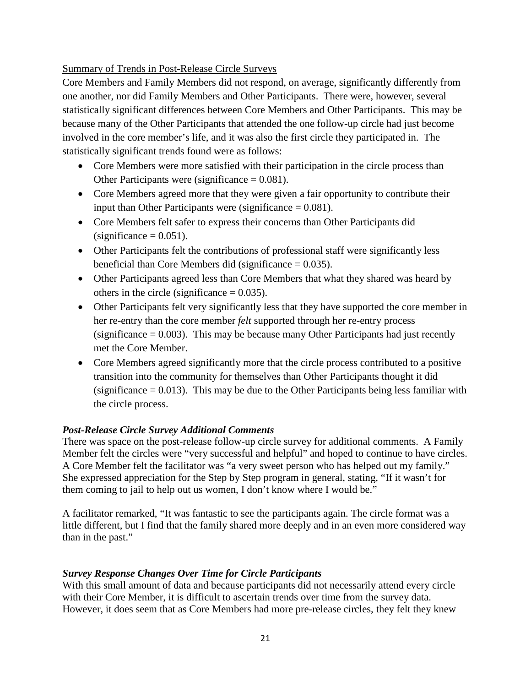Summary of Trends in Post-Release Circle Surveys

Core Members and Family Members did not respond, on average, significantly differently from one another, nor did Family Members and Other Participants. There were, however, several statistically significant differences between Core Members and Other Participants. This may be because many of the Other Participants that attended the one follow-up circle had just become involved in the core member's life, and it was also the first circle they participated in. The statistically significant trends found were as follows:

- Core Members were more satisfied with their participation in the circle process than Other Participants were (significance  $= 0.081$ ).
- Core Members agreed more that they were given a fair opportunity to contribute their input than Other Participants were (significance  $= 0.081$ ).
- Core Members felt safer to express their concerns than Other Participants did  $(significance = 0.051)$ .
- Other Participants felt the contributions of professional staff were significantly less beneficial than Core Members did (significance  $= 0.035$ ).
- Other Participants agreed less than Core Members that what they shared was heard by others in the circle (significance  $= 0.035$ ).
- Other Participants felt very significantly less that they have supported the core member in her re-entry than the core member *felt* supported through her re-entry process (significance  $= 0.003$ ). This may be because many Other Participants had just recently met the Core Member.
- Core Members agreed significantly more that the circle process contributed to a positive transition into the community for themselves than Other Participants thought it did  $(significance = 0.013)$ . This may be due to the Other Participants being less familiar with the circle process.

#### *Post-Release Circle Survey Additional Comments*

There was space on the post-release follow-up circle survey for additional comments. A Family Member felt the circles were "very successful and helpful" and hoped to continue to have circles. A Core Member felt the facilitator was "a very sweet person who has helped out my family." She expressed appreciation for the Step by Step program in general, stating, "If it wasn't for them coming to jail to help out us women, I don't know where I would be."

A facilitator remarked, "It was fantastic to see the participants again. The circle format was a little different, but I find that the family shared more deeply and in an even more considered way than in the past."

#### *Survey Response Changes Over Time for Circle Participants*

With this small amount of data and because participants did not necessarily attend every circle with their Core Member, it is difficult to ascertain trends over time from the survey data. However, it does seem that as Core Members had more pre-release circles, they felt they knew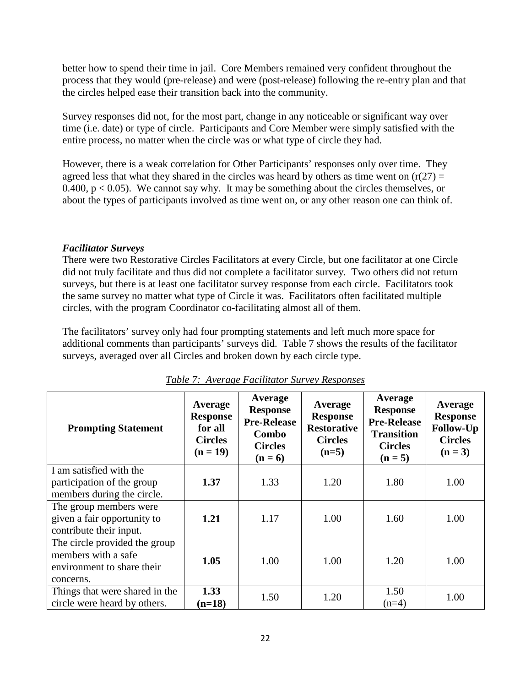better how to spend their time in jail. Core Members remained very confident throughout the process that they would (pre-release) and were (post-release) following the re-entry plan and that the circles helped ease their transition back into the community.

Survey responses did not, for the most part, change in any noticeable or significant way over time (i.e. date) or type of circle. Participants and Core Member were simply satisfied with the entire process, no matter when the circle was or what type of circle they had.

However, there is a weak correlation for Other Participants' responses only over time. They agreed less that what they shared in the circles was heard by others as time went on  $(r(27) =$ 0.400,  $p < 0.05$ ). We cannot say why. It may be something about the circles themselves, or about the types of participants involved as time went on, or any other reason one can think of.

#### *Facilitator Surveys*

There were two Restorative Circles Facilitators at every Circle, but one facilitator at one Circle did not truly facilitate and thus did not complete a facilitator survey. Two others did not return surveys, but there is at least one facilitator survey response from each circle. Facilitators took the same survey no matter what type of Circle it was. Facilitators often facilitated multiple circles, with the program Coordinator co-facilitating almost all of them.

The facilitators' survey only had four prompting statements and left much more space for additional comments than participants' surveys did. Table 7 shows the results of the facilitator surveys, averaged over all Circles and broken down by each circle type.

| <b>Prompting Statement</b>                                                                      | Average<br><b>Response</b><br>for all<br><b>Circles</b><br>$(n = 19)$ | Average<br><b>Response</b><br><b>Pre-Release</b><br>Combo<br><b>Circles</b><br>$(n=6)$ | Average<br><b>Response</b><br><b>Restorative</b><br><b>Circles</b><br>$(n=5)$ | Average<br><b>Response</b><br><b>Pre-Release</b><br><b>Transition</b><br><b>Circles</b><br>$(n = 5)$ | Average<br><b>Response</b><br>Follow-Up<br><b>Circles</b><br>$(n = 3)$ |
|-------------------------------------------------------------------------------------------------|-----------------------------------------------------------------------|----------------------------------------------------------------------------------------|-------------------------------------------------------------------------------|------------------------------------------------------------------------------------------------------|------------------------------------------------------------------------|
| I am satisfied with the<br>participation of the group<br>members during the circle.             | 1.37                                                                  | 1.33                                                                                   | 1.20                                                                          | 1.80                                                                                                 | 1.00                                                                   |
| The group members were<br>given a fair opportunity to<br>contribute their input.                | 1.21                                                                  | 1.17                                                                                   | 1.00                                                                          | 1.60                                                                                                 | 1.00                                                                   |
| The circle provided the group<br>members with a safe<br>environment to share their<br>concerns. | 1.05                                                                  | 1.00                                                                                   | 1.00                                                                          | 1.20                                                                                                 | 1.00                                                                   |
| Things that were shared in the<br>circle were heard by others.                                  | 1.33<br>$(n=18)$                                                      | 1.50                                                                                   | 1.20                                                                          | 1.50<br>$(n=4)$                                                                                      | 1.00                                                                   |

#### *Table 7: Average Facilitator Survey Responses*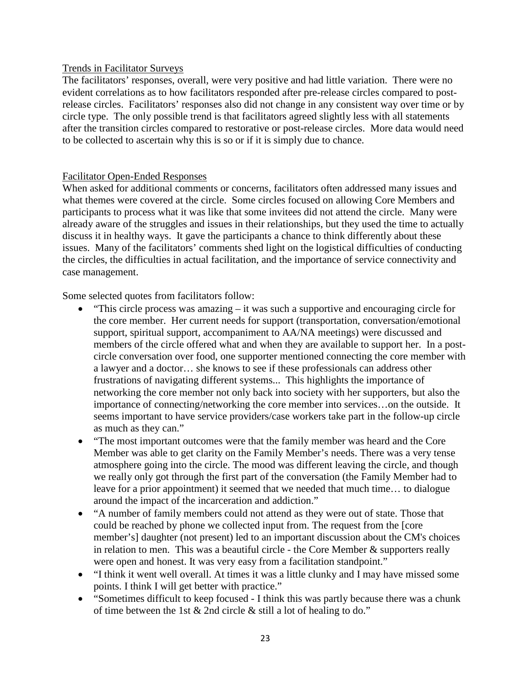#### Trends in Facilitator Surveys

The facilitators' responses, overall, were very positive and had little variation. There were no evident correlations as to how facilitators responded after pre-release circles compared to postrelease circles. Facilitators' responses also did not change in any consistent way over time or by circle type. The only possible trend is that facilitators agreed slightly less with all statements after the transition circles compared to restorative or post-release circles. More data would need to be collected to ascertain why this is so or if it is simply due to chance.

#### Facilitator Open-Ended Responses

When asked for additional comments or concerns, facilitators often addressed many issues and what themes were covered at the circle. Some circles focused on allowing Core Members and participants to process what it was like that some invitees did not attend the circle. Many were already aware of the struggles and issues in their relationships, but they used the time to actually discuss it in healthy ways. It gave the participants a chance to think differently about these issues. Many of the facilitators' comments shed light on the logistical difficulties of conducting the circles, the difficulties in actual facilitation, and the importance of service connectivity and case management.

Some selected quotes from facilitators follow:

- "This circle process was amazing  $-$  it was such a supportive and encouraging circle for the core member. Her current needs for support (transportation, conversation/emotional support, spiritual support, accompaniment to AA/NA meetings) were discussed and members of the circle offered what and when they are available to support her. In a postcircle conversation over food, one supporter mentioned connecting the core member with a lawyer and a doctor… she knows to see if these professionals can address other frustrations of navigating different systems... This highlights the importance of networking the core member not only back into society with her supporters, but also the importance of connecting/networking the core member into services…on the outside. It seems important to have service providers/case workers take part in the follow-up circle as much as they can."
- "The most important outcomes were that the family member was heard and the Core" Member was able to get clarity on the Family Member's needs. There was a very tense atmosphere going into the circle. The mood was different leaving the circle, and though we really only got through the first part of the conversation (the Family Member had to leave for a prior appointment) it seemed that we needed that much time… to dialogue around the impact of the incarceration and addiction."
- "A number of family members could not attend as they were out of state. Those that could be reached by phone we collected input from. The request from the [core member's] daughter (not present) led to an important discussion about the CM's choices in relation to men. This was a beautiful circle - the Core Member & supporters really were open and honest. It was very easy from a facilitation standpoint."
- "I think it went well overall. At times it was a little clunky and I may have missed some points. I think I will get better with practice."
- "Sometimes difficult to keep focused I think this was partly because there was a chunk of time between the 1st & 2nd circle & still a lot of healing to do."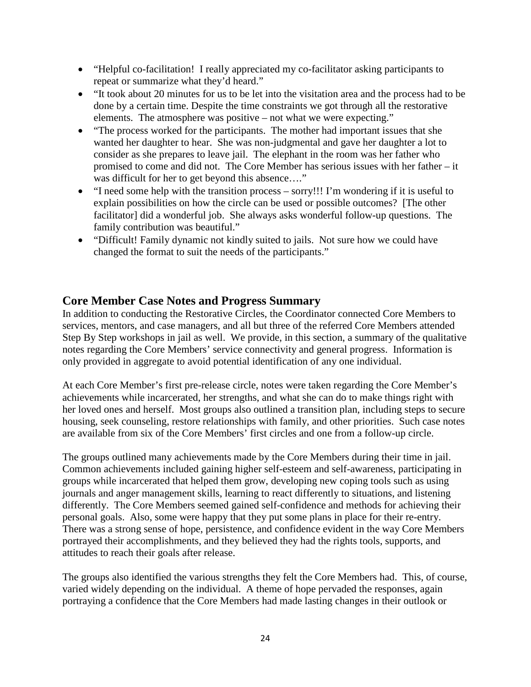- "Helpful co-facilitation! I really appreciated my co-facilitator asking participants to repeat or summarize what they'd heard."
- "It took about 20 minutes for us to be let into the visitation area and the process had to be done by a certain time. Despite the time constraints we got through all the restorative elements. The atmosphere was positive – not what we were expecting."
- "The process worked for the participants. The mother had important issues that she wanted her daughter to hear. She was non-judgmental and gave her daughter a lot to consider as she prepares to leave jail. The elephant in the room was her father who promised to come and did not. The Core Member has serious issues with her father – it was difficult for her to get beyond this absence...."
- "I need some help with the transition process sorry!!! I'm wondering if it is useful to explain possibilities on how the circle can be used or possible outcomes? [The other facilitator] did a wonderful job. She always asks wonderful follow-up questions. The family contribution was beautiful."
- "Difficult! Family dynamic not kindly suited to jails. Not sure how we could have changed the format to suit the needs of the participants."

## **Core Member Case Notes and Progress Summary**

In addition to conducting the Restorative Circles, the Coordinator connected Core Members to services, mentors, and case managers, and all but three of the referred Core Members attended Step By Step workshops in jail as well. We provide, in this section, a summary of the qualitative notes regarding the Core Members' service connectivity and general progress. Information is only provided in aggregate to avoid potential identification of any one individual.

At each Core Member's first pre-release circle, notes were taken regarding the Core Member's achievements while incarcerated, her strengths, and what she can do to make things right with her loved ones and herself. Most groups also outlined a transition plan, including steps to secure housing, seek counseling, restore relationships with family, and other priorities. Such case notes are available from six of the Core Members' first circles and one from a follow-up circle.

The groups outlined many achievements made by the Core Members during their time in jail. Common achievements included gaining higher self-esteem and self-awareness, participating in groups while incarcerated that helped them grow, developing new coping tools such as using journals and anger management skills, learning to react differently to situations, and listening differently. The Core Members seemed gained self-confidence and methods for achieving their personal goals. Also, some were happy that they put some plans in place for their re-entry. There was a strong sense of hope, persistence, and confidence evident in the way Core Members portrayed their accomplishments, and they believed they had the rights tools, supports, and attitudes to reach their goals after release.

The groups also identified the various strengths they felt the Core Members had. This, of course, varied widely depending on the individual. A theme of hope pervaded the responses, again portraying a confidence that the Core Members had made lasting changes in their outlook or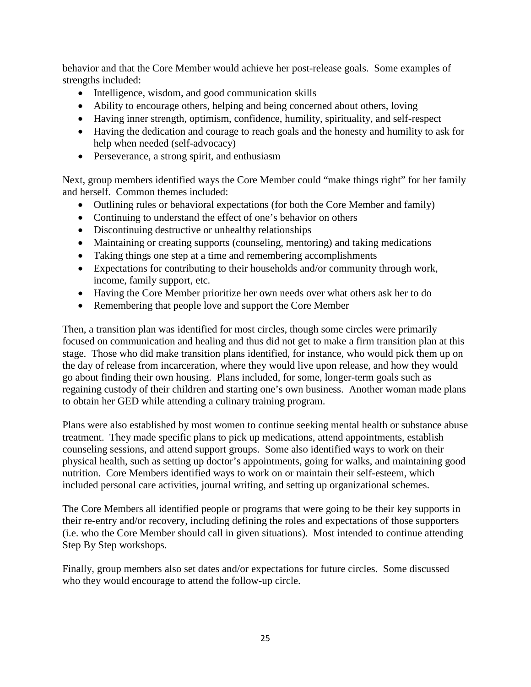behavior and that the Core Member would achieve her post-release goals. Some examples of strengths included:

- Intelligence, wisdom, and good communication skills
- Ability to encourage others, helping and being concerned about others, loving
- Having inner strength, optimism, confidence, humility, spirituality, and self-respect
- Having the dedication and courage to reach goals and the honesty and humility to ask for help when needed (self-advocacy)
- Perseverance, a strong spirit, and enthusiasm

Next, group members identified ways the Core Member could "make things right" for her family and herself. Common themes included:

- Outlining rules or behavioral expectations (for both the Core Member and family)
- Continuing to understand the effect of one's behavior on others
- Discontinuing destructive or unhealthy relationships
- Maintaining or creating supports (counseling, mentoring) and taking medications
- Taking things one step at a time and remembering accomplishments
- Expectations for contributing to their households and/or community through work, income, family support, etc.
- Having the Core Member prioritize her own needs over what others ask her to do
- Remembering that people love and support the Core Member

Then, a transition plan was identified for most circles, though some circles were primarily focused on communication and healing and thus did not get to make a firm transition plan at this stage. Those who did make transition plans identified, for instance, who would pick them up on the day of release from incarceration, where they would live upon release, and how they would go about finding their own housing. Plans included, for some, longer-term goals such as regaining custody of their children and starting one's own business. Another woman made plans to obtain her GED while attending a culinary training program.

Plans were also established by most women to continue seeking mental health or substance abuse treatment. They made specific plans to pick up medications, attend appointments, establish counseling sessions, and attend support groups. Some also identified ways to work on their physical health, such as setting up doctor's appointments, going for walks, and maintaining good nutrition. Core Members identified ways to work on or maintain their self-esteem, which included personal care activities, journal writing, and setting up organizational schemes.

The Core Members all identified people or programs that were going to be their key supports in their re-entry and/or recovery, including defining the roles and expectations of those supporters (i.e. who the Core Member should call in given situations). Most intended to continue attending Step By Step workshops.

Finally, group members also set dates and/or expectations for future circles. Some discussed who they would encourage to attend the follow-up circle.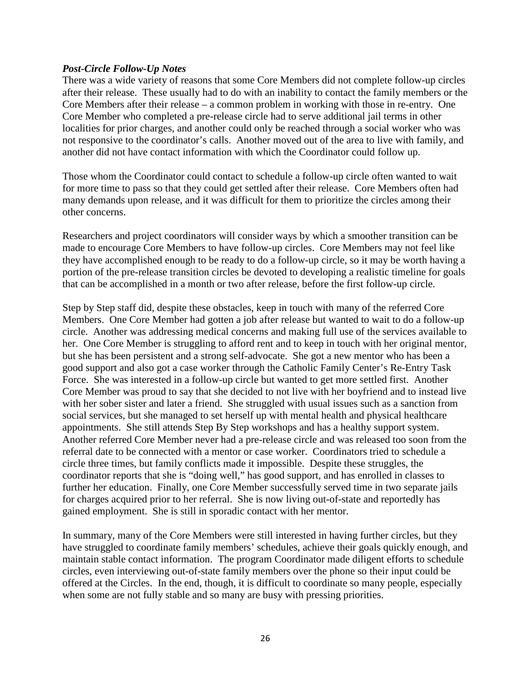#### *Post-Circle Follow-Up Notes*

There was a wide variety of reasons that some Core Members did not complete follow-up circles after their release. These usually had to do with an inability to contact the family members or the Core Members after their release – a common problem in working with those in re-entry. One Core Member who completed a pre-release circle had to serve additional jail terms in other localities for prior charges, and another could only be reached through a social worker who was not responsive to the coordinator's calls. Another moved out of the area to live with family, and another did not have contact information with which the Coordinator could follow up.

Those whom the Coordinator could contact to schedule a follow-up circle often wanted to wait for more time to pass so that they could get settled after their release. Core Members often had many demands upon release, and it was difficult for them to prioritize the circles among their other concerns.

Researchers and project coordinators will consider ways by which a smoother transition can be made to encourage Core Members to have follow-up circles. Core Members may not feel like they have accomplished enough to be ready to do a follow-up circle, so it may be worth having a portion of the pre-release transition circles be devoted to developing a realistic timeline for goals that can be accomplished in a month or two after release, before the first follow-up circle.

Step by Step staff did, despite these obstacles, keep in touch with many of the referred Core Members. One Core Member had gotten a job after release but wanted to wait to do a follow-up circle. Another was addressing medical concerns and making full use of the services available to her. One Core Member is struggling to afford rent and to keep in touch with her original mentor, but she has been persistent and a strong self-advocate. She got a new mentor who has been a good support and also got a case worker through the Catholic Family Center's Re-Entry Task Force. She was interested in a follow-up circle but wanted to get more settled first. Another Core Member was proud to say that she decided to not live with her boyfriend and to instead live with her sober sister and later a friend. She struggled with usual issues such as a sanction from social services, but she managed to set herself up with mental health and physical healthcare appointments. She still attends Step By Step workshops and has a healthy support system. Another referred Core Member never had a pre-release circle and was released too soon from the referral date to be connected with a mentor or case worker. Coordinators tried to schedule a circle three times, but family conflicts made it impossible. Despite these struggles, the coordinator reports that she is "doing well," has good support, and has enrolled in classes to further her education. Finally, one Core Member successfully served time in two separate jails for charges acquired prior to her referral. She is now living out-of-state and reportedly has gained employment. She is still in sporadic contact with her mentor.

In summary, many of the Core Members were still interested in having further circles, but they have struggled to coordinate family members' schedules, achieve their goals quickly enough, and maintain stable contact information. The program Coordinator made diligent efforts to schedule circles, even interviewing out-of-state family members over the phone so their input could be offered at the Circles. In the end, though, it is difficult to coordinate so many people, especially when some are not fully stable and so many are busy with pressing priorities.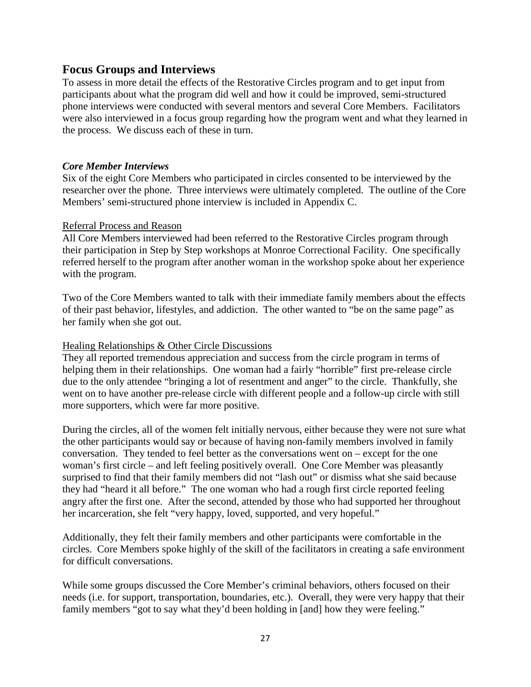#### **Focus Groups and Interviews**

To assess in more detail the effects of the Restorative Circles program and to get input from participants about what the program did well and how it could be improved, semi-structured phone interviews were conducted with several mentors and several Core Members. Facilitators were also interviewed in a focus group regarding how the program went and what they learned in the process. We discuss each of these in turn.

#### *Core Member Interviews*

Six of the eight Core Members who participated in circles consented to be interviewed by the researcher over the phone. Three interviews were ultimately completed. The outline of the Core Members' semi-structured phone interview is included in Appendix C.

#### Referral Process and Reason

All Core Members interviewed had been referred to the Restorative Circles program through their participation in Step by Step workshops at Monroe Correctional Facility. One specifically referred herself to the program after another woman in the workshop spoke about her experience with the program.

Two of the Core Members wanted to talk with their immediate family members about the effects of their past behavior, lifestyles, and addiction. The other wanted to "be on the same page" as her family when she got out.

#### Healing Relationships & Other Circle Discussions

They all reported tremendous appreciation and success from the circle program in terms of helping them in their relationships. One woman had a fairly "horrible" first pre-release circle due to the only attendee "bringing a lot of resentment and anger" to the circle. Thankfully, she went on to have another pre-release circle with different people and a follow-up circle with still more supporters, which were far more positive.

During the circles, all of the women felt initially nervous, either because they were not sure what the other participants would say or because of having non-family members involved in family conversation. They tended to feel better as the conversations went on – except for the one woman's first circle – and left feeling positively overall. One Core Member was pleasantly surprised to find that their family members did not "lash out" or dismiss what she said because they had "heard it all before." The one woman who had a rough first circle reported feeling angry after the first one. After the second, attended by those who had supported her throughout her incarceration, she felt "very happy, loved, supported, and very hopeful."

Additionally, they felt their family members and other participants were comfortable in the circles. Core Members spoke highly of the skill of the facilitators in creating a safe environment for difficult conversations.

While some groups discussed the Core Member's criminal behaviors, others focused on their needs (i.e. for support, transportation, boundaries, etc.). Overall, they were very happy that their family members "got to say what they'd been holding in [and] how they were feeling."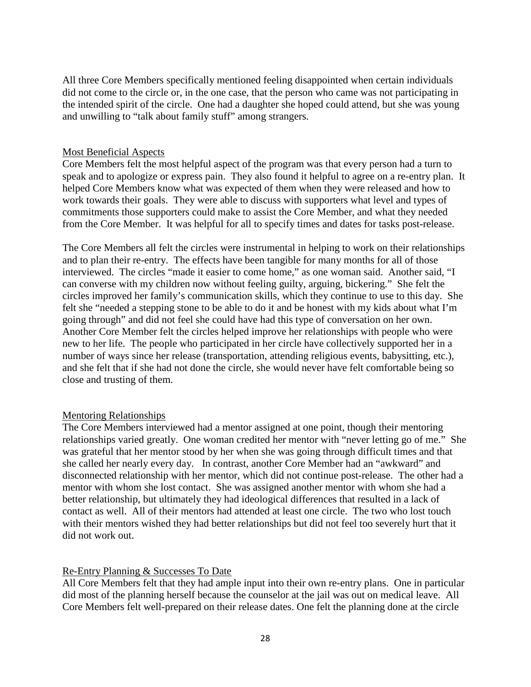All three Core Members specifically mentioned feeling disappointed when certain individuals did not come to the circle or, in the one case, that the person who came was not participating in the intended spirit of the circle. One had a daughter she hoped could attend, but she was young and unwilling to "talk about family stuff" among strangers.

#### Most Beneficial Aspects

Core Members felt the most helpful aspect of the program was that every person had a turn to speak and to apologize or express pain. They also found it helpful to agree on a re-entry plan. It helped Core Members know what was expected of them when they were released and how to work towards their goals. They were able to discuss with supporters what level and types of commitments those supporters could make to assist the Core Member, and what they needed from the Core Member. It was helpful for all to specify times and dates for tasks post-release.

The Core Members all felt the circles were instrumental in helping to work on their relationships and to plan their re-entry. The effects have been tangible for many months for all of those interviewed. The circles "made it easier to come home," as one woman said. Another said, "I can converse with my children now without feeling guilty, arguing, bickering." She felt the circles improved her family's communication skills, which they continue to use to this day. She felt she "needed a stepping stone to be able to do it and be honest with my kids about what I'm going through" and did not feel she could have had this type of conversation on her own. Another Core Member felt the circles helped improve her relationships with people who were new to her life. The people who participated in her circle have collectively supported her in a number of ways since her release (transportation, attending religious events, babysitting, etc.), and she felt that if she had not done the circle, she would never have felt comfortable being so close and trusting of them.

#### Mentoring Relationships

The Core Members interviewed had a mentor assigned at one point, though their mentoring relationships varied greatly. One woman credited her mentor with "never letting go of me." She was grateful that her mentor stood by her when she was going through difficult times and that she called her nearly every day. In contrast, another Core Member had an "awkward" and disconnected relationship with her mentor, which did not continue post-release. The other had a mentor with whom she lost contact. She was assigned another mentor with whom she had a better relationship, but ultimately they had ideological differences that resulted in a lack of contact as well. All of their mentors had attended at least one circle. The two who lost touch with their mentors wished they had better relationships but did not feel too severely hurt that it did not work out.

#### Re-Entry Planning & Successes To Date

All Core Members felt that they had ample input into their own re-entry plans. One in particular did most of the planning herself because the counselor at the jail was out on medical leave. All Core Members felt well-prepared on their release dates. One felt the planning done at the circle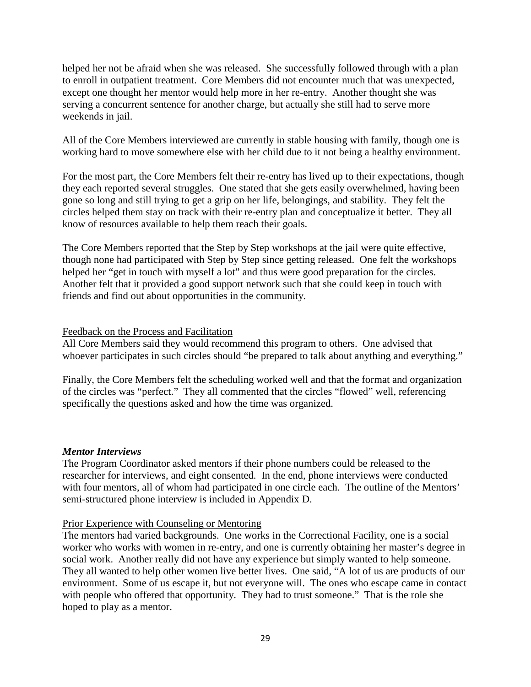helped her not be afraid when she was released. She successfully followed through with a plan to enroll in outpatient treatment. Core Members did not encounter much that was unexpected, except one thought her mentor would help more in her re-entry. Another thought she was serving a concurrent sentence for another charge, but actually she still had to serve more weekends in jail.

All of the Core Members interviewed are currently in stable housing with family, though one is working hard to move somewhere else with her child due to it not being a healthy environment.

For the most part, the Core Members felt their re-entry has lived up to their expectations, though they each reported several struggles. One stated that she gets easily overwhelmed, having been gone so long and still trying to get a grip on her life, belongings, and stability. They felt the circles helped them stay on track with their re-entry plan and conceptualize it better. They all know of resources available to help them reach their goals.

The Core Members reported that the Step by Step workshops at the jail were quite effective, though none had participated with Step by Step since getting released. One felt the workshops helped her "get in touch with myself a lot" and thus were good preparation for the circles. Another felt that it provided a good support network such that she could keep in touch with friends and find out about opportunities in the community.

#### Feedback on the Process and Facilitation

All Core Members said they would recommend this program to others. One advised that whoever participates in such circles should "be prepared to talk about anything and everything."

Finally, the Core Members felt the scheduling worked well and that the format and organization of the circles was "perfect." They all commented that the circles "flowed" well, referencing specifically the questions asked and how the time was organized.

#### *Mentor Interviews*

The Program Coordinator asked mentors if their phone numbers could be released to the researcher for interviews, and eight consented. In the end, phone interviews were conducted with four mentors, all of whom had participated in one circle each. The outline of the Mentors' semi-structured phone interview is included in Appendix D.

#### Prior Experience with Counseling or Mentoring

The mentors had varied backgrounds. One works in the Correctional Facility, one is a social worker who works with women in re-entry, and one is currently obtaining her master's degree in social work. Another really did not have any experience but simply wanted to help someone. They all wanted to help other women live better lives. One said, "A lot of us are products of our environment. Some of us escape it, but not everyone will. The ones who escape came in contact with people who offered that opportunity. They had to trust someone." That is the role she hoped to play as a mentor.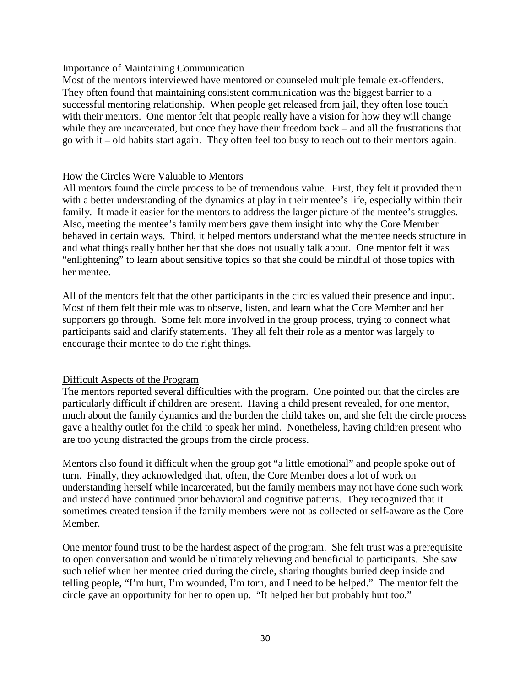#### Importance of Maintaining Communication

Most of the mentors interviewed have mentored or counseled multiple female ex-offenders. They often found that maintaining consistent communication was the biggest barrier to a successful mentoring relationship. When people get released from jail, they often lose touch with their mentors. One mentor felt that people really have a vision for how they will change while they are incarcerated, but once they have their freedom back – and all the frustrations that go with it – old habits start again. They often feel too busy to reach out to their mentors again.

#### How the Circles Were Valuable to Mentors

All mentors found the circle process to be of tremendous value. First, they felt it provided them with a better understanding of the dynamics at play in their mentee's life, especially within their family. It made it easier for the mentors to address the larger picture of the mentee's struggles. Also, meeting the mentee's family members gave them insight into why the Core Member behaved in certain ways. Third, it helped mentors understand what the mentee needs structure in and what things really bother her that she does not usually talk about. One mentor felt it was "enlightening" to learn about sensitive topics so that she could be mindful of those topics with her mentee.

All of the mentors felt that the other participants in the circles valued their presence and input. Most of them felt their role was to observe, listen, and learn what the Core Member and her supporters go through. Some felt more involved in the group process, trying to connect what participants said and clarify statements. They all felt their role as a mentor was largely to encourage their mentee to do the right things.

#### Difficult Aspects of the Program

The mentors reported several difficulties with the program. One pointed out that the circles are particularly difficult if children are present. Having a child present revealed, for one mentor, much about the family dynamics and the burden the child takes on, and she felt the circle process gave a healthy outlet for the child to speak her mind. Nonetheless, having children present who are too young distracted the groups from the circle process.

Mentors also found it difficult when the group got "a little emotional" and people spoke out of turn. Finally, they acknowledged that, often, the Core Member does a lot of work on understanding herself while incarcerated, but the family members may not have done such work and instead have continued prior behavioral and cognitive patterns. They recognized that it sometimes created tension if the family members were not as collected or self-aware as the Core Member.

One mentor found trust to be the hardest aspect of the program. She felt trust was a prerequisite to open conversation and would be ultimately relieving and beneficial to participants. She saw such relief when her mentee cried during the circle, sharing thoughts buried deep inside and telling people, "I'm hurt, I'm wounded, I'm torn, and I need to be helped." The mentor felt the circle gave an opportunity for her to open up. "It helped her but probably hurt too."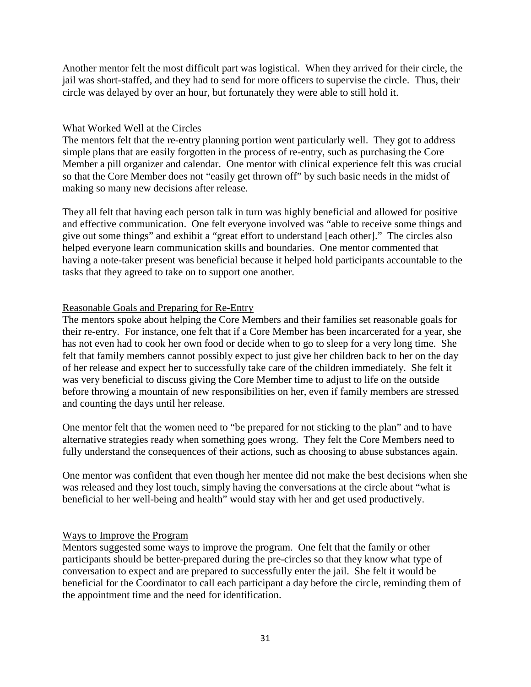Another mentor felt the most difficult part was logistical. When they arrived for their circle, the jail was short-staffed, and they had to send for more officers to supervise the circle. Thus, their circle was delayed by over an hour, but fortunately they were able to still hold it.

#### What Worked Well at the Circles

The mentors felt that the re-entry planning portion went particularly well. They got to address simple plans that are easily forgotten in the process of re-entry, such as purchasing the Core Member a pill organizer and calendar. One mentor with clinical experience felt this was crucial so that the Core Member does not "easily get thrown off" by such basic needs in the midst of making so many new decisions after release.

They all felt that having each person talk in turn was highly beneficial and allowed for positive and effective communication. One felt everyone involved was "able to receive some things and give out some things" and exhibit a "great effort to understand [each other]." The circles also helped everyone learn communication skills and boundaries. One mentor commented that having a note-taker present was beneficial because it helped hold participants accountable to the tasks that they agreed to take on to support one another.

#### Reasonable Goals and Preparing for Re-Entry

The mentors spoke about helping the Core Members and their families set reasonable goals for their re-entry. For instance, one felt that if a Core Member has been incarcerated for a year, she has not even had to cook her own food or decide when to go to sleep for a very long time. She felt that family members cannot possibly expect to just give her children back to her on the day of her release and expect her to successfully take care of the children immediately. She felt it was very beneficial to discuss giving the Core Member time to adjust to life on the outside before throwing a mountain of new responsibilities on her, even if family members are stressed and counting the days until her release.

One mentor felt that the women need to "be prepared for not sticking to the plan" and to have alternative strategies ready when something goes wrong. They felt the Core Members need to fully understand the consequences of their actions, such as choosing to abuse substances again.

One mentor was confident that even though her mentee did not make the best decisions when she was released and they lost touch, simply having the conversations at the circle about "what is beneficial to her well-being and health" would stay with her and get used productively.

#### Ways to Improve the Program

Mentors suggested some ways to improve the program. One felt that the family or other participants should be better-prepared during the pre-circles so that they know what type of conversation to expect and are prepared to successfully enter the jail. She felt it would be beneficial for the Coordinator to call each participant a day before the circle, reminding them of the appointment time and the need for identification.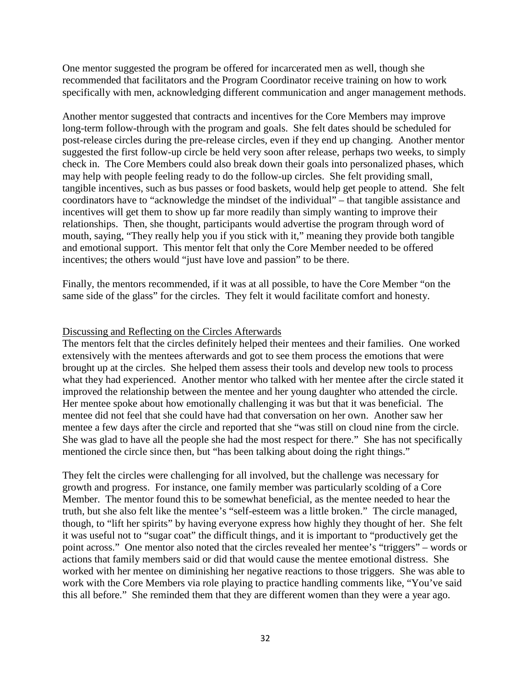One mentor suggested the program be offered for incarcerated men as well, though she recommended that facilitators and the Program Coordinator receive training on how to work specifically with men, acknowledging different communication and anger management methods.

Another mentor suggested that contracts and incentives for the Core Members may improve long-term follow-through with the program and goals. She felt dates should be scheduled for post-release circles during the pre-release circles, even if they end up changing. Another mentor suggested the first follow-up circle be held very soon after release, perhaps two weeks, to simply check in. The Core Members could also break down their goals into personalized phases, which may help with people feeling ready to do the follow-up circles. She felt providing small, tangible incentives, such as bus passes or food baskets, would help get people to attend. She felt coordinators have to "acknowledge the mindset of the individual" – that tangible assistance and incentives will get them to show up far more readily than simply wanting to improve their relationships. Then, she thought, participants would advertise the program through word of mouth, saying, "They really help you if you stick with it," meaning they provide both tangible and emotional support. This mentor felt that only the Core Member needed to be offered incentives; the others would "just have love and passion" to be there.

Finally, the mentors recommended, if it was at all possible, to have the Core Member "on the same side of the glass" for the circles. They felt it would facilitate comfort and honesty.

#### Discussing and Reflecting on the Circles Afterwards

The mentors felt that the circles definitely helped their mentees and their families. One worked extensively with the mentees afterwards and got to see them process the emotions that were brought up at the circles. She helped them assess their tools and develop new tools to process what they had experienced. Another mentor who talked with her mentee after the circle stated it improved the relationship between the mentee and her young daughter who attended the circle. Her mentee spoke about how emotionally challenging it was but that it was beneficial. The mentee did not feel that she could have had that conversation on her own. Another saw her mentee a few days after the circle and reported that she "was still on cloud nine from the circle. She was glad to have all the people she had the most respect for there." She has not specifically mentioned the circle since then, but "has been talking about doing the right things."

They felt the circles were challenging for all involved, but the challenge was necessary for growth and progress. For instance, one family member was particularly scolding of a Core Member. The mentor found this to be somewhat beneficial, as the mentee needed to hear the truth, but she also felt like the mentee's "self-esteem was a little broken." The circle managed, though, to "lift her spirits" by having everyone express how highly they thought of her. She felt it was useful not to "sugar coat" the difficult things, and it is important to "productively get the point across." One mentor also noted that the circles revealed her mentee's "triggers" – words or actions that family members said or did that would cause the mentee emotional distress. She worked with her mentee on diminishing her negative reactions to those triggers. She was able to work with the Core Members via role playing to practice handling comments like, "You've said this all before." She reminded them that they are different women than they were a year ago.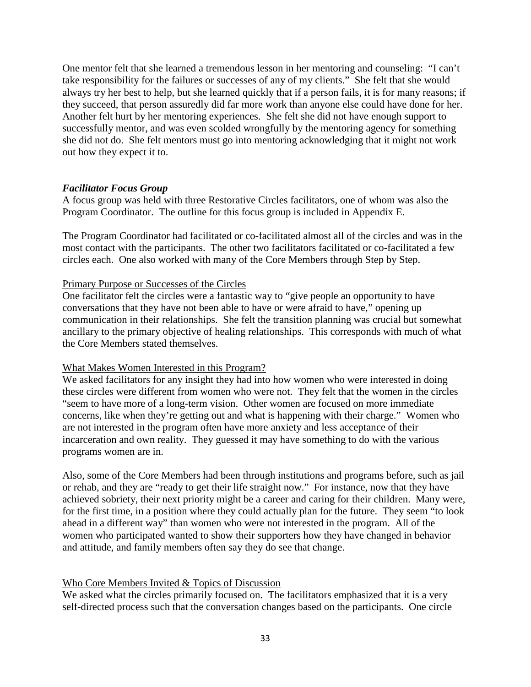One mentor felt that she learned a tremendous lesson in her mentoring and counseling: "I can't take responsibility for the failures or successes of any of my clients." She felt that she would always try her best to help, but she learned quickly that if a person fails, it is for many reasons; if they succeed, that person assuredly did far more work than anyone else could have done for her. Another felt hurt by her mentoring experiences. She felt she did not have enough support to successfully mentor, and was even scolded wrongfully by the mentoring agency for something she did not do. She felt mentors must go into mentoring acknowledging that it might not work out how they expect it to.

#### *Facilitator Focus Group*

A focus group was held with three Restorative Circles facilitators, one of whom was also the Program Coordinator. The outline for this focus group is included in Appendix E.

The Program Coordinator had facilitated or co-facilitated almost all of the circles and was in the most contact with the participants. The other two facilitators facilitated or co-facilitated a few circles each. One also worked with many of the Core Members through Step by Step.

#### Primary Purpose or Successes of the Circles

One facilitator felt the circles were a fantastic way to "give people an opportunity to have conversations that they have not been able to have or were afraid to have," opening up communication in their relationships. She felt the transition planning was crucial but somewhat ancillary to the primary objective of healing relationships. This corresponds with much of what the Core Members stated themselves.

#### What Makes Women Interested in this Program?

We asked facilitators for any insight they had into how women who were interested in doing these circles were different from women who were not. They felt that the women in the circles "seem to have more of a long-term vision. Other women are focused on more immediate concerns, like when they're getting out and what is happening with their charge." Women who are not interested in the program often have more anxiety and less acceptance of their incarceration and own reality. They guessed it may have something to do with the various programs women are in.

Also, some of the Core Members had been through institutions and programs before, such as jail or rehab, and they are "ready to get their life straight now." For instance, now that they have achieved sobriety, their next priority might be a career and caring for their children. Many were, for the first time, in a position where they could actually plan for the future. They seem "to look ahead in a different way" than women who were not interested in the program. All of the women who participated wanted to show their supporters how they have changed in behavior and attitude, and family members often say they do see that change.

#### Who Core Members Invited & Topics of Discussion

We asked what the circles primarily focused on. The facilitators emphasized that it is a very self-directed process such that the conversation changes based on the participants. One circle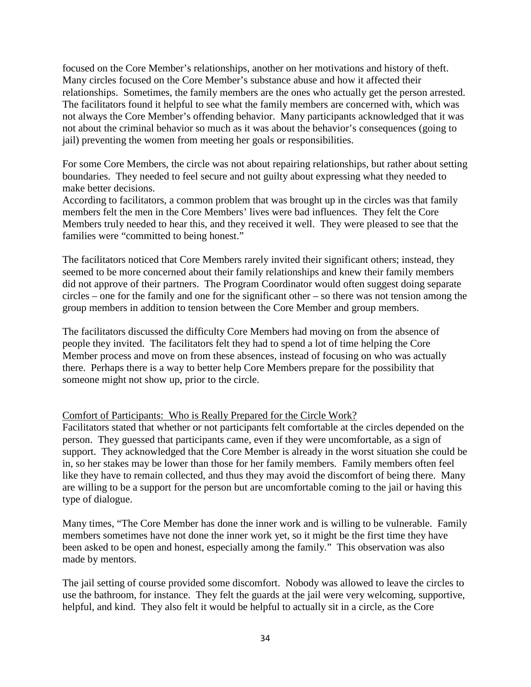focused on the Core Member's relationships, another on her motivations and history of theft. Many circles focused on the Core Member's substance abuse and how it affected their relationships. Sometimes, the family members are the ones who actually get the person arrested. The facilitators found it helpful to see what the family members are concerned with, which was not always the Core Member's offending behavior. Many participants acknowledged that it was not about the criminal behavior so much as it was about the behavior's consequences (going to jail) preventing the women from meeting her goals or responsibilities.

For some Core Members, the circle was not about repairing relationships, but rather about setting boundaries. They needed to feel secure and not guilty about expressing what they needed to make better decisions.

According to facilitators, a common problem that was brought up in the circles was that family members felt the men in the Core Members' lives were bad influences. They felt the Core Members truly needed to hear this, and they received it well. They were pleased to see that the families were "committed to being honest."

The facilitators noticed that Core Members rarely invited their significant others; instead, they seemed to be more concerned about their family relationships and knew their family members did not approve of their partners. The Program Coordinator would often suggest doing separate circles – one for the family and one for the significant other – so there was not tension among the group members in addition to tension between the Core Member and group members.

The facilitators discussed the difficulty Core Members had moving on from the absence of people they invited. The facilitators felt they had to spend a lot of time helping the Core Member process and move on from these absences, instead of focusing on who was actually there. Perhaps there is a way to better help Core Members prepare for the possibility that someone might not show up, prior to the circle.

#### Comfort of Participants: Who is Really Prepared for the Circle Work?

Facilitators stated that whether or not participants felt comfortable at the circles depended on the person. They guessed that participants came, even if they were uncomfortable, as a sign of support. They acknowledged that the Core Member is already in the worst situation she could be in, so her stakes may be lower than those for her family members. Family members often feel like they have to remain collected, and thus they may avoid the discomfort of being there. Many are willing to be a support for the person but are uncomfortable coming to the jail or having this type of dialogue.

Many times, "The Core Member has done the inner work and is willing to be vulnerable. Family members sometimes have not done the inner work yet, so it might be the first time they have been asked to be open and honest, especially among the family." This observation was also made by mentors.

The jail setting of course provided some discomfort. Nobody was allowed to leave the circles to use the bathroom, for instance. They felt the guards at the jail were very welcoming, supportive, helpful, and kind. They also felt it would be helpful to actually sit in a circle, as the Core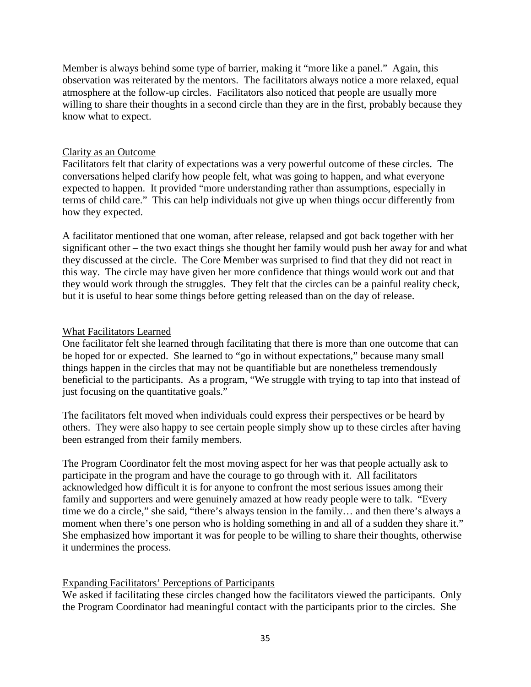Member is always behind some type of barrier, making it "more like a panel." Again, this observation was reiterated by the mentors. The facilitators always notice a more relaxed, equal atmosphere at the follow-up circles. Facilitators also noticed that people are usually more willing to share their thoughts in a second circle than they are in the first, probably because they know what to expect.

#### Clarity as an Outcome

Facilitators felt that clarity of expectations was a very powerful outcome of these circles. The conversations helped clarify how people felt, what was going to happen, and what everyone expected to happen. It provided "more understanding rather than assumptions, especially in terms of child care." This can help individuals not give up when things occur differently from how they expected.

A facilitator mentioned that one woman, after release, relapsed and got back together with her significant other – the two exact things she thought her family would push her away for and what they discussed at the circle. The Core Member was surprised to find that they did not react in this way. The circle may have given her more confidence that things would work out and that they would work through the struggles. They felt that the circles can be a painful reality check, but it is useful to hear some things before getting released than on the day of release.

#### What Facilitators Learned

One facilitator felt she learned through facilitating that there is more than one outcome that can be hoped for or expected. She learned to "go in without expectations," because many small things happen in the circles that may not be quantifiable but are nonetheless tremendously beneficial to the participants. As a program, "We struggle with trying to tap into that instead of just focusing on the quantitative goals."

The facilitators felt moved when individuals could express their perspectives or be heard by others. They were also happy to see certain people simply show up to these circles after having been estranged from their family members.

The Program Coordinator felt the most moving aspect for her was that people actually ask to participate in the program and have the courage to go through with it. All facilitators acknowledged how difficult it is for anyone to confront the most serious issues among their family and supporters and were genuinely amazed at how ready people were to talk. "Every time we do a circle," she said, "there's always tension in the family… and then there's always a moment when there's one person who is holding something in and all of a sudden they share it." She emphasized how important it was for people to be willing to share their thoughts, otherwise it undermines the process.

#### Expanding Facilitators' Perceptions of Participants

We asked if facilitating these circles changed how the facilitators viewed the participants. Only the Program Coordinator had meaningful contact with the participants prior to the circles. She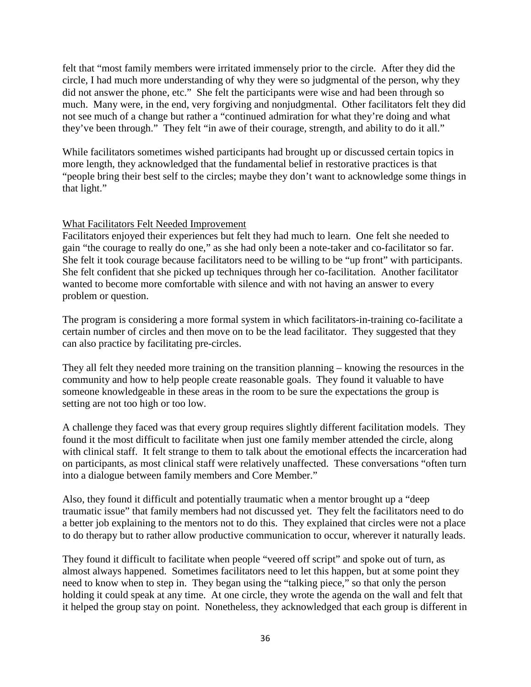felt that "most family members were irritated immensely prior to the circle. After they did the circle, I had much more understanding of why they were so judgmental of the person, why they did not answer the phone, etc." She felt the participants were wise and had been through so much. Many were, in the end, very forgiving and nonjudgmental. Other facilitators felt they did not see much of a change but rather a "continued admiration for what they're doing and what they've been through." They felt "in awe of their courage, strength, and ability to do it all."

While facilitators sometimes wished participants had brought up or discussed certain topics in more length, they acknowledged that the fundamental belief in restorative practices is that "people bring their best self to the circles; maybe they don't want to acknowledge some things in that light."

#### What Facilitators Felt Needed Improvement

Facilitators enjoyed their experiences but felt they had much to learn. One felt she needed to gain "the courage to really do one," as she had only been a note-taker and co-facilitator so far. She felt it took courage because facilitators need to be willing to be "up front" with participants. She felt confident that she picked up techniques through her co-facilitation. Another facilitator wanted to become more comfortable with silence and with not having an answer to every problem or question.

The program is considering a more formal system in which facilitators-in-training co-facilitate a certain number of circles and then move on to be the lead facilitator. They suggested that they can also practice by facilitating pre-circles.

They all felt they needed more training on the transition planning – knowing the resources in the community and how to help people create reasonable goals. They found it valuable to have someone knowledgeable in these areas in the room to be sure the expectations the group is setting are not too high or too low.

A challenge they faced was that every group requires slightly different facilitation models. They found it the most difficult to facilitate when just one family member attended the circle, along with clinical staff. It felt strange to them to talk about the emotional effects the incarceration had on participants, as most clinical staff were relatively unaffected. These conversations "often turn into a dialogue between family members and Core Member."

Also, they found it difficult and potentially traumatic when a mentor brought up a "deep traumatic issue" that family members had not discussed yet. They felt the facilitators need to do a better job explaining to the mentors not to do this. They explained that circles were not a place to do therapy but to rather allow productive communication to occur, wherever it naturally leads.

They found it difficult to facilitate when people "veered off script" and spoke out of turn, as almost always happened. Sometimes facilitators need to let this happen, but at some point they need to know when to step in. They began using the "talking piece," so that only the person holding it could speak at any time. At one circle, they wrote the agenda on the wall and felt that it helped the group stay on point. Nonetheless, they acknowledged that each group is different in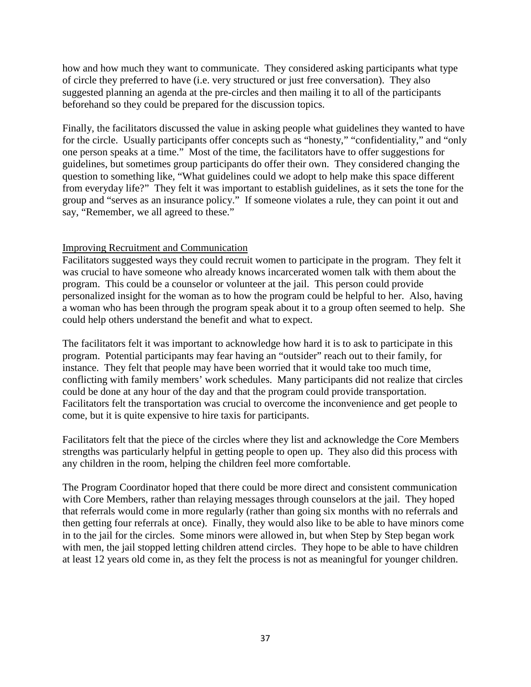how and how much they want to communicate. They considered asking participants what type of circle they preferred to have (i.e. very structured or just free conversation). They also suggested planning an agenda at the pre-circles and then mailing it to all of the participants beforehand so they could be prepared for the discussion topics.

Finally, the facilitators discussed the value in asking people what guidelines they wanted to have for the circle. Usually participants offer concepts such as "honesty," "confidentiality," and "only one person speaks at a time." Most of the time, the facilitators have to offer suggestions for guidelines, but sometimes group participants do offer their own. They considered changing the question to something like, "What guidelines could we adopt to help make this space different from everyday life?" They felt it was important to establish guidelines, as it sets the tone for the group and "serves as an insurance policy." If someone violates a rule, they can point it out and say, "Remember, we all agreed to these."

#### Improving Recruitment and Communication

Facilitators suggested ways they could recruit women to participate in the program. They felt it was crucial to have someone who already knows incarcerated women talk with them about the program. This could be a counselor or volunteer at the jail. This person could provide personalized insight for the woman as to how the program could be helpful to her. Also, having a woman who has been through the program speak about it to a group often seemed to help. She could help others understand the benefit and what to expect.

The facilitators felt it was important to acknowledge how hard it is to ask to participate in this program. Potential participants may fear having an "outsider" reach out to their family, for instance. They felt that people may have been worried that it would take too much time, conflicting with family members' work schedules. Many participants did not realize that circles could be done at any hour of the day and that the program could provide transportation. Facilitators felt the transportation was crucial to overcome the inconvenience and get people to come, but it is quite expensive to hire taxis for participants.

Facilitators felt that the piece of the circles where they list and acknowledge the Core Members strengths was particularly helpful in getting people to open up. They also did this process with any children in the room, helping the children feel more comfortable.

The Program Coordinator hoped that there could be more direct and consistent communication with Core Members, rather than relaying messages through counselors at the jail. They hoped that referrals would come in more regularly (rather than going six months with no referrals and then getting four referrals at once). Finally, they would also like to be able to have minors come in to the jail for the circles. Some minors were allowed in, but when Step by Step began work with men, the jail stopped letting children attend circles. They hope to be able to have children at least 12 years old come in, as they felt the process is not as meaningful for younger children.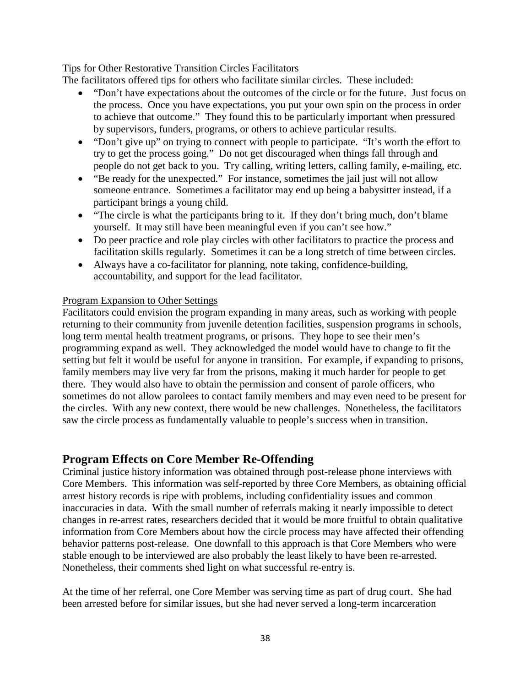#### Tips for Other Restorative Transition Circles Facilitators

The facilitators offered tips for others who facilitate similar circles. These included:

- "Don't have expectations about the outcomes of the circle or for the future. Just focus on the process. Once you have expectations, you put your own spin on the process in order to achieve that outcome." They found this to be particularly important when pressured by supervisors, funders, programs, or others to achieve particular results.
- "Don't give up" on trying to connect with people to participate. "It's worth the effort to try to get the process going." Do not get discouraged when things fall through and people do not get back to you. Try calling, writing letters, calling family, e-mailing, etc.
- "Be ready for the unexpected." For instance, sometimes the jail just will not allow someone entrance. Sometimes a facilitator may end up being a babysitter instead, if a participant brings a young child.
- "The circle is what the participants bring to it. If they don't bring much, don't blame yourself. It may still have been meaningful even if you can't see how."
- Do peer practice and role play circles with other facilitators to practice the process and facilitation skills regularly. Sometimes it can be a long stretch of time between circles.
- Always have a co-facilitator for planning, note taking, confidence-building, accountability, and support for the lead facilitator.

#### Program Expansion to Other Settings

Facilitators could envision the program expanding in many areas, such as working with people returning to their community from juvenile detention facilities, suspension programs in schools, long term mental health treatment programs, or prisons. They hope to see their men's programming expand as well. They acknowledged the model would have to change to fit the setting but felt it would be useful for anyone in transition. For example, if expanding to prisons, family members may live very far from the prisons, making it much harder for people to get there. They would also have to obtain the permission and consent of parole officers, who sometimes do not allow parolees to contact family members and may even need to be present for the circles. With any new context, there would be new challenges. Nonetheless, the facilitators saw the circle process as fundamentally valuable to people's success when in transition.

## **Program Effects on Core Member Re-Offending**

Criminal justice history information was obtained through post-release phone interviews with Core Members. This information was self-reported by three Core Members, as obtaining official arrest history records is ripe with problems, including confidentiality issues and common inaccuracies in data. With the small number of referrals making it nearly impossible to detect changes in re-arrest rates, researchers decided that it would be more fruitful to obtain qualitative information from Core Members about how the circle process may have affected their offending behavior patterns post-release. One downfall to this approach is that Core Members who were stable enough to be interviewed are also probably the least likely to have been re-arrested. Nonetheless, their comments shed light on what successful re-entry is.

At the time of her referral, one Core Member was serving time as part of drug court. She had been arrested before for similar issues, but she had never served a long-term incarceration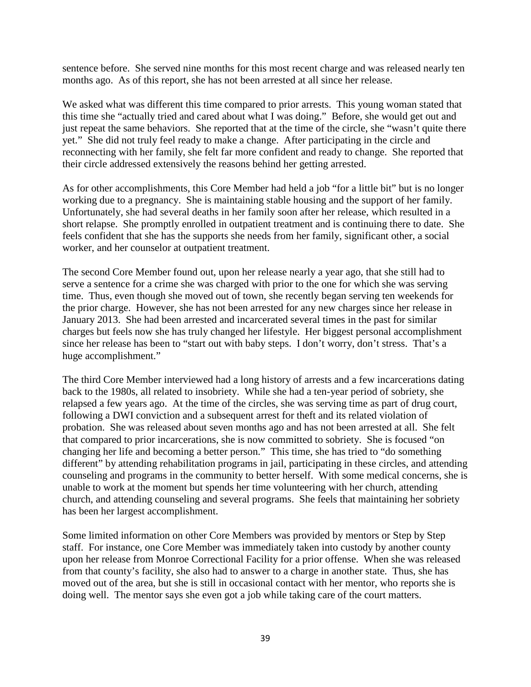sentence before. She served nine months for this most recent charge and was released nearly ten months ago. As of this report, she has not been arrested at all since her release.

We asked what was different this time compared to prior arrests. This young woman stated that this time she "actually tried and cared about what I was doing." Before, she would get out and just repeat the same behaviors. She reported that at the time of the circle, she "wasn't quite there yet." She did not truly feel ready to make a change. After participating in the circle and reconnecting with her family, she felt far more confident and ready to change. She reported that their circle addressed extensively the reasons behind her getting arrested.

As for other accomplishments, this Core Member had held a job "for a little bit" but is no longer working due to a pregnancy. She is maintaining stable housing and the support of her family. Unfortunately, she had several deaths in her family soon after her release, which resulted in a short relapse. She promptly enrolled in outpatient treatment and is continuing there to date. She feels confident that she has the supports she needs from her family, significant other, a social worker, and her counselor at outpatient treatment.

The second Core Member found out, upon her release nearly a year ago, that she still had to serve a sentence for a crime she was charged with prior to the one for which she was serving time. Thus, even though she moved out of town, she recently began serving ten weekends for the prior charge. However, she has not been arrested for any new charges since her release in January 2013. She had been arrested and incarcerated several times in the past for similar charges but feels now she has truly changed her lifestyle. Her biggest personal accomplishment since her release has been to "start out with baby steps. I don't worry, don't stress. That's a huge accomplishment."

The third Core Member interviewed had a long history of arrests and a few incarcerations dating back to the 1980s, all related to insobriety. While she had a ten-year period of sobriety, she relapsed a few years ago. At the time of the circles, she was serving time as part of drug court, following a DWI conviction and a subsequent arrest for theft and its related violation of probation. She was released about seven months ago and has not been arrested at all. She felt that compared to prior incarcerations, she is now committed to sobriety. She is focused "on changing her life and becoming a better person." This time, she has tried to "do something different" by attending rehabilitation programs in jail, participating in these circles, and attending counseling and programs in the community to better herself. With some medical concerns, she is unable to work at the moment but spends her time volunteering with her church, attending church, and attending counseling and several programs. She feels that maintaining her sobriety has been her largest accomplishment.

Some limited information on other Core Members was provided by mentors or Step by Step staff. For instance, one Core Member was immediately taken into custody by another county upon her release from Monroe Correctional Facility for a prior offense. When she was released from that county's facility, she also had to answer to a charge in another state. Thus, she has moved out of the area, but she is still in occasional contact with her mentor, who reports she is doing well. The mentor says she even got a job while taking care of the court matters.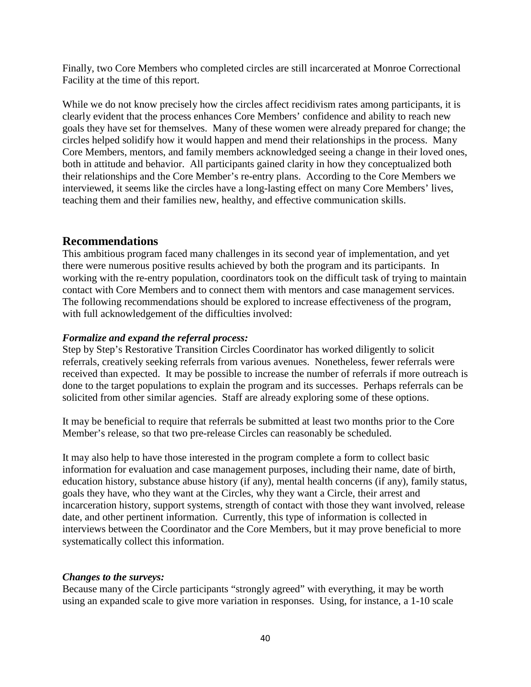Finally, two Core Members who completed circles are still incarcerated at Monroe Correctional Facility at the time of this report.

While we do not know precisely how the circles affect recidivism rates among participants, it is clearly evident that the process enhances Core Members' confidence and ability to reach new goals they have set for themselves. Many of these women were already prepared for change; the circles helped solidify how it would happen and mend their relationships in the process. Many Core Members, mentors, and family members acknowledged seeing a change in their loved ones, both in attitude and behavior. All participants gained clarity in how they conceptualized both their relationships and the Core Member's re-entry plans. According to the Core Members we interviewed, it seems like the circles have a long-lasting effect on many Core Members' lives, teaching them and their families new, healthy, and effective communication skills.

## **Recommendations**

This ambitious program faced many challenges in its second year of implementation, and yet there were numerous positive results achieved by both the program and its participants. In working with the re-entry population, coordinators took on the difficult task of trying to maintain contact with Core Members and to connect them with mentors and case management services. The following recommendations should be explored to increase effectiveness of the program, with full acknowledgement of the difficulties involved:

#### *Formalize and expand the referral process:*

Step by Step's Restorative Transition Circles Coordinator has worked diligently to solicit referrals, creatively seeking referrals from various avenues. Nonetheless, fewer referrals were received than expected. It may be possible to increase the number of referrals if more outreach is done to the target populations to explain the program and its successes. Perhaps referrals can be solicited from other similar agencies. Staff are already exploring some of these options.

It may be beneficial to require that referrals be submitted at least two months prior to the Core Member's release, so that two pre-release Circles can reasonably be scheduled.

It may also help to have those interested in the program complete a form to collect basic information for evaluation and case management purposes, including their name, date of birth, education history, substance abuse history (if any), mental health concerns (if any), family status, goals they have, who they want at the Circles, why they want a Circle, their arrest and incarceration history, support systems, strength of contact with those they want involved, release date, and other pertinent information. Currently, this type of information is collected in interviews between the Coordinator and the Core Members, but it may prove beneficial to more systematically collect this information.

#### *Changes to the surveys:*

Because many of the Circle participants "strongly agreed" with everything, it may be worth using an expanded scale to give more variation in responses. Using, for instance, a 1-10 scale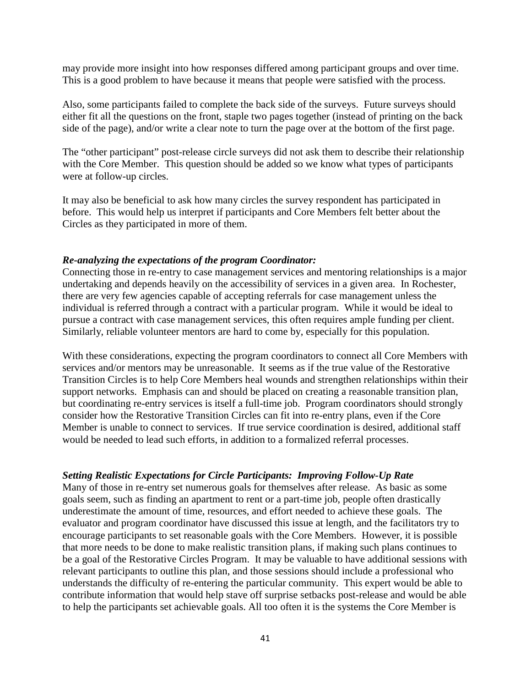may provide more insight into how responses differed among participant groups and over time. This is a good problem to have because it means that people were satisfied with the process.

Also, some participants failed to complete the back side of the surveys. Future surveys should either fit all the questions on the front, staple two pages together (instead of printing on the back side of the page), and/or write a clear note to turn the page over at the bottom of the first page.

The "other participant" post-release circle surveys did not ask them to describe their relationship with the Core Member. This question should be added so we know what types of participants were at follow-up circles.

It may also be beneficial to ask how many circles the survey respondent has participated in before. This would help us interpret if participants and Core Members felt better about the Circles as they participated in more of them.

#### *Re-analyzing the expectations of the program Coordinator:*

Connecting those in re-entry to case management services and mentoring relationships is a major undertaking and depends heavily on the accessibility of services in a given area. In Rochester, there are very few agencies capable of accepting referrals for case management unless the individual is referred through a contract with a particular program. While it would be ideal to pursue a contract with case management services, this often requires ample funding per client. Similarly, reliable volunteer mentors are hard to come by, especially for this population.

With these considerations, expecting the program coordinators to connect all Core Members with services and/or mentors may be unreasonable. It seems as if the true value of the Restorative Transition Circles is to help Core Members heal wounds and strengthen relationships within their support networks. Emphasis can and should be placed on creating a reasonable transition plan, but coordinating re-entry services is itself a full-time job. Program coordinators should strongly consider how the Restorative Transition Circles can fit into re-entry plans, even if the Core Member is unable to connect to services. If true service coordination is desired, additional staff would be needed to lead such efforts, in addition to a formalized referral processes.

#### *Setting Realistic Expectations for Circle Participants: Improving Follow-Up Rate*

Many of those in re-entry set numerous goals for themselves after release. As basic as some goals seem, such as finding an apartment to rent or a part-time job, people often drastically underestimate the amount of time, resources, and effort needed to achieve these goals. The evaluator and program coordinator have discussed this issue at length, and the facilitators try to encourage participants to set reasonable goals with the Core Members. However, it is possible that more needs to be done to make realistic transition plans, if making such plans continues to be a goal of the Restorative Circles Program. It may be valuable to have additional sessions with relevant participants to outline this plan, and those sessions should include a professional who understands the difficulty of re-entering the particular community. This expert would be able to contribute information that would help stave off surprise setbacks post-release and would be able to help the participants set achievable goals. All too often it is the systems the Core Member is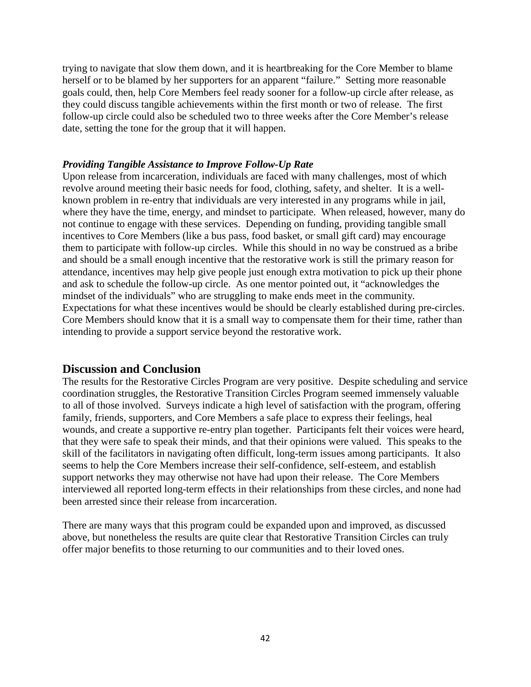trying to navigate that slow them down, and it is heartbreaking for the Core Member to blame herself or to be blamed by her supporters for an apparent "failure." Setting more reasonable goals could, then, help Core Members feel ready sooner for a follow-up circle after release, as they could discuss tangible achievements within the first month or two of release. The first follow-up circle could also be scheduled two to three weeks after the Core Member's release date, setting the tone for the group that it will happen.

#### *Providing Tangible Assistance to Improve Follow-Up Rate*

Upon release from incarceration, individuals are faced with many challenges, most of which revolve around meeting their basic needs for food, clothing, safety, and shelter. It is a wellknown problem in re-entry that individuals are very interested in any programs while in jail, where they have the time, energy, and mindset to participate. When released, however, many do not continue to engage with these services. Depending on funding, providing tangible small incentives to Core Members (like a bus pass, food basket, or small gift card) may encourage them to participate with follow-up circles. While this should in no way be construed as a bribe and should be a small enough incentive that the restorative work is still the primary reason for attendance, incentives may help give people just enough extra motivation to pick up their phone and ask to schedule the follow-up circle. As one mentor pointed out, it "acknowledges the mindset of the individuals" who are struggling to make ends meet in the community. Expectations for what these incentives would be should be clearly established during pre-circles. Core Members should know that it is a small way to compensate them for their time, rather than intending to provide a support service beyond the restorative work.

#### **Discussion and Conclusion**

The results for the Restorative Circles Program are very positive. Despite scheduling and service coordination struggles, the Restorative Transition Circles Program seemed immensely valuable to all of those involved. Surveys indicate a high level of satisfaction with the program, offering family, friends, supporters, and Core Members a safe place to express their feelings, heal wounds, and create a supportive re-entry plan together. Participants felt their voices were heard, that they were safe to speak their minds, and that their opinions were valued. This speaks to the skill of the facilitators in navigating often difficult, long-term issues among participants. It also seems to help the Core Members increase their self-confidence, self-esteem, and establish support networks they may otherwise not have had upon their release. The Core Members interviewed all reported long-term effects in their relationships from these circles, and none had been arrested since their release from incarceration.

There are many ways that this program could be expanded upon and improved, as discussed above, but nonetheless the results are quite clear that Restorative Transition Circles can truly offer major benefits to those returning to our communities and to their loved ones.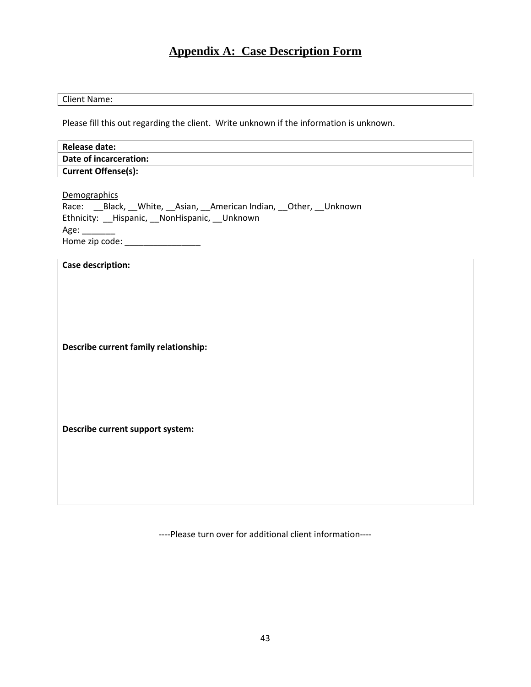## **Appendix A: Case Description Form**

#### Client Name:

Please fill this out regarding the client. Write unknown if the information is unknown.

| <b>Release date:</b>                                                                                                                                                                   |
|----------------------------------------------------------------------------------------------------------------------------------------------------------------------------------------|
| <b>Date of incarceration:</b>                                                                                                                                                          |
| <b>Current Offense(s):</b>                                                                                                                                                             |
| Demographics<br>Race: __Black, __White, __Asian, __American Indian, __Other, __Unknown<br>Ethnicity: __Hispanic, __NonHispanic, __Unknown<br>Age:<br>Home zip code: __________________ |
| <b>Case description:</b>                                                                                                                                                               |
|                                                                                                                                                                                        |
| Describe current family relationship:                                                                                                                                                  |
|                                                                                                                                                                                        |
|                                                                                                                                                                                        |
| Describe current support system:                                                                                                                                                       |
|                                                                                                                                                                                        |

----Please turn over for additional client information----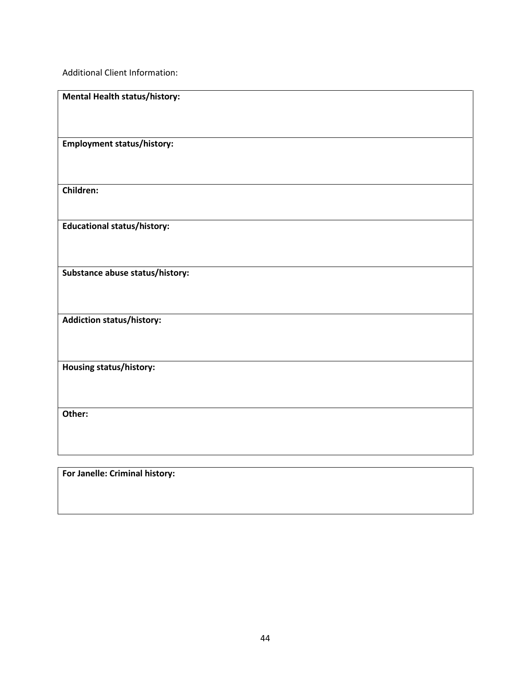Additional Client Information:

| <b>Mental Health status/history:</b> |
|--------------------------------------|
|                                      |
| <b>Employment status/history:</b>    |
| <b>Children:</b>                     |
| <b>Educational status/history:</b>   |
| Substance abuse status/history:      |
| <b>Addiction status/history:</b>     |
| Housing status/history:              |
| Other:                               |
|                                      |

**For Janelle: Criminal history:**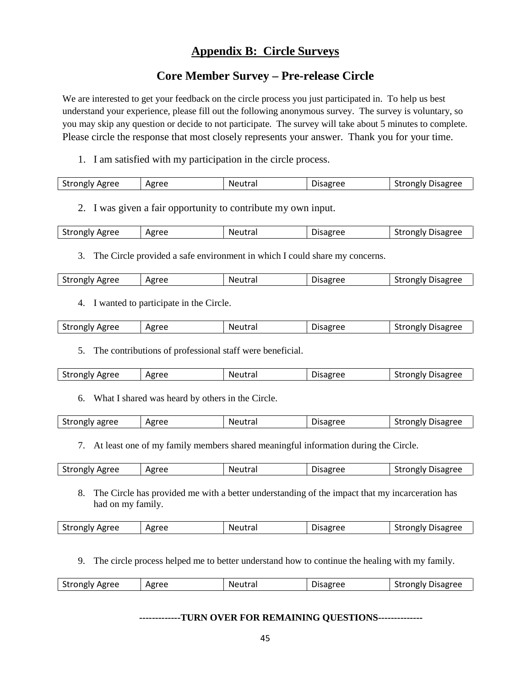## **Appendix B: Circle Surveys**

## **Core Member Survey – Pre-release Circle**

We are interested to get your feedback on the circle process you just participated in. To help us best understand your experience, please fill out the following anonymous survey. The survey is voluntary, so you may skip any question or decide to not participate. The survey will take about 5 minutes to complete. Please circle the response that most closely represents your answer. Thank you for your time.

1. I am satisfied with my participation in the circle process.

| <b>Strongly Agree</b> | Agree | Neutral | Disagree | <b>Strongly Disagree</b> |
|-----------------------|-------|---------|----------|--------------------------|
|                       |       |         |          |                          |

2. I was given a fair opportunity to contribute my own input.

| Strongly<br>Agree<br>Agree<br>.<br>NΑ<br>$\sim$<br>$\sim$ $\sim$ $\sim$ $\sim$ $\sim$ $\sim$ | $  -$<br>۵۵.<br>$\cdot$ | Disagree<br>trongly.<br>15 |
|----------------------------------------------------------------------------------------------|-------------------------|----------------------------|
|----------------------------------------------------------------------------------------------|-------------------------|----------------------------|

3. The Circle provided a safe environment in which I could share my concerns.

| <b>Strongly Agree</b> | Agree | Neutral | <b>Disagree</b> | <b>Strongly Disagree</b> |
|-----------------------|-------|---------|-----------------|--------------------------|
|-----------------------|-------|---------|-----------------|--------------------------|

4. I wanted to participate in the Circle.

| <b>Strongly Agree</b> | Agree | Neutral | Disagree | Strongly Disagree |
|-----------------------|-------|---------|----------|-------------------|
|                       |       |         |          |                   |

5. The contributions of professional staff were beneficial.

| <b>Strongly Agree</b> | Agree | Neutral | <b>Disagree</b> | trongly Disagree<br>эtг |
|-----------------------|-------|---------|-----------------|-------------------------|
|-----------------------|-------|---------|-----------------|-------------------------|

6. What I shared was heard by others in the Circle.

| Strongly agree<br>Agree<br><b>Strongly Disagree</b><br>Neutral<br>Disagree |
|----------------------------------------------------------------------------|
|----------------------------------------------------------------------------|

7. At least one of my family members shared meaningful information during the Circle.

8. The Circle has provided me with a better understanding of the impact that my incarceration has had on my family.

| <b>Strongly Agree</b> | Agree | Neutra | Disagree | <b>Disagree</b><br>`rongiv<br>эu |
|-----------------------|-------|--------|----------|----------------------------------|
|                       |       |        |          |                                  |

9. The circle process helped me to better understand how to continue the healing with my family.

| <b>Strongly Agree</b> | Agree | <b>Neutral</b> | Disagree | Disagree<br>*rongly .<br>JL. |
|-----------------------|-------|----------------|----------|------------------------------|
|                       |       |                |          |                              |

#### **-------------TURN OVER FOR REMAINING QUESTIONS--------------**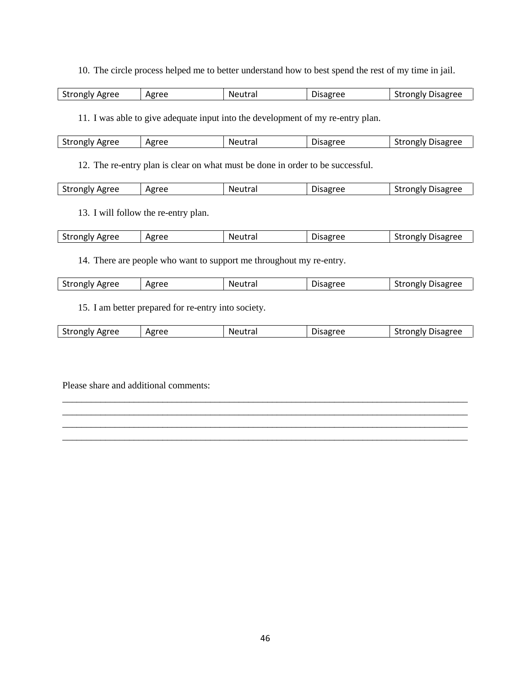10. The circle process helped me to better understand how to best spend the rest of my time in jail.

| <b>Strongly Agree</b> | Agree<br>ما جا | Neutral | <b>Disagree</b> | Disagree<br>$+ 20000001$<br>יוצווע<br>JU ' |
|-----------------------|----------------|---------|-----------------|--------------------------------------------|

11. I was able to give adequate input into the development of my re-entry plan.

| <b>Strongly Agree</b> | Agree | Neutral | Disagree | trongly Disagree<br>- SUI |
|-----------------------|-------|---------|----------|---------------------------|
|                       |       |         |          |                           |

12. The re-entry plan is clear on what must be done in order to be successful.

| $\sim$<br>strongly Agree<br>oree<br>Neutral<br>Disagree<br>$-$<br>----<br>$$ dere $-$<br>"Ag<br>- אונ<br>יי<br>$\sim$ 1 $\sim$ |
|--------------------------------------------------------------------------------------------------------------------------------|
|--------------------------------------------------------------------------------------------------------------------------------|

13. I will follow the re-entry plan.

| $\sim$<br>Strongly<br>Agree | Agree | Neutra. | <b>Disagree</b> | Disagree<br>trongly .<br>Str |
|-----------------------------|-------|---------|-----------------|------------------------------|
|-----------------------------|-------|---------|-----------------|------------------------------|

14. There are people who want to support me throughout my re-entry.

| <b>Strongly Agree</b> | Agree | Neutral | <b>Disagree</b> | <b>Strongly Disagree</b> |
|-----------------------|-------|---------|-----------------|--------------------------|
|-----------------------|-------|---------|-----------------|--------------------------|

15. I am better prepared for re-entry into society.

| <b>Strongly Agree</b> | Agree | Neutral | Disagree | <b>Strongly Disagree</b> |
|-----------------------|-------|---------|----------|--------------------------|
|                       |       |         |          |                          |

\_\_\_\_\_\_\_\_\_\_\_\_\_\_\_\_\_\_\_\_\_\_\_\_\_\_\_\_\_\_\_\_\_\_\_\_\_\_\_\_\_\_\_\_\_\_\_\_\_\_\_\_\_\_\_\_\_\_\_\_\_\_\_\_\_\_\_\_\_\_\_\_\_\_\_\_\_\_\_\_\_\_\_\_\_ \_\_\_\_\_\_\_\_\_\_\_\_\_\_\_\_\_\_\_\_\_\_\_\_\_\_\_\_\_\_\_\_\_\_\_\_\_\_\_\_\_\_\_\_\_\_\_\_\_\_\_\_\_\_\_\_\_\_\_\_\_\_\_\_\_\_\_\_\_\_\_\_\_\_\_\_\_\_\_\_\_\_\_\_\_ \_\_\_\_\_\_\_\_\_\_\_\_\_\_\_\_\_\_\_\_\_\_\_\_\_\_\_\_\_\_\_\_\_\_\_\_\_\_\_\_\_\_\_\_\_\_\_\_\_\_\_\_\_\_\_\_\_\_\_\_\_\_\_\_\_\_\_\_\_\_\_\_\_\_\_\_\_\_\_\_\_\_\_\_\_ \_\_\_\_\_\_\_\_\_\_\_\_\_\_\_\_\_\_\_\_\_\_\_\_\_\_\_\_\_\_\_\_\_\_\_\_\_\_\_\_\_\_\_\_\_\_\_\_\_\_\_\_\_\_\_\_\_\_\_\_\_\_\_\_\_\_\_\_\_\_\_\_\_\_\_\_\_\_\_\_\_\_\_\_\_

Please share and additional comments: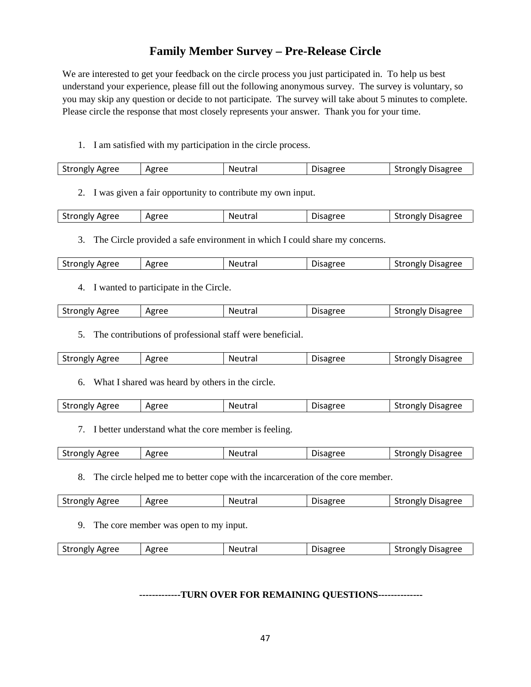## **Family Member Survey – Pre-Release Circle**

We are interested to get your feedback on the circle process you just participated in. To help us best understand your experience, please fill out the following anonymous survey. The survey is voluntary, so you may skip any question or decide to not participate. The survey will take about 5 minutes to complete. Please circle the response that most closely represents your answer. Thank you for your time.

1. I am satisfied with my participation in the circle process.

| Agree<br>Agree<br>.<br>Disagree<br>$-$<br>*rongly .<br>Neutra.<br>лѕар<br><b>Strongly</b><br>ີ |
|------------------------------------------------------------------------------------------------|
|------------------------------------------------------------------------------------------------|

2. I was given a fair opportunity to contribute my own input.

| <b>Strongly Agree</b> | Agree | Neutral | <b>Disagree</b> | <b>Disagree</b><br>∵†rongly ∟<br>эu |
|-----------------------|-------|---------|-----------------|-------------------------------------|
|                       |       |         |                 |                                     |

3. The Circle provided a safe environment in which I could share my concerns.

| <b>Strongly Agree</b><br><b>Strongly Disagree</b><br>Agree<br><b>Disagree</b><br>Neutral |
|------------------------------------------------------------------------------------------|
|------------------------------------------------------------------------------------------|

4. I wanted to participate in the Circle.

|  | Strongly Agree | Agree | Neutra | ------<br>Disaeree | `trongly Disagree_<br>эı. |
|--|----------------|-------|--------|--------------------|---------------------------|
|--|----------------|-------|--------|--------------------|---------------------------|

5. The contributions of professional staff were beneficial.

| <b>Strongly Agree</b><br>Agree<br>- trongly Disagree<br>Neutra.<br>Jisagree<br><b>SLFF</b> |
|--------------------------------------------------------------------------------------------|
|--------------------------------------------------------------------------------------------|

6. What I shared was heard by others in the circle.

|  | Strongly Agree | Agree | Neutra | Disagree | trongly Disagree<br>эı |
|--|----------------|-------|--------|----------|------------------------|
|--|----------------|-------|--------|----------|------------------------|

7. I better understand what the core member is feeling.

| $\sim$<br><b>Strongly Agree</b> | Agree | Neutral | Disagree | Strongly Disagree |
|---------------------------------|-------|---------|----------|-------------------|
|                                 |       |         |          |                   |

8. The circle helped me to better cope with the incarceration of the core member.

| <b>Strongly Agree</b> | Agree | Neutra | <b>Disagree</b> | <b>Strongly Disagree</b> |
|-----------------------|-------|--------|-----------------|--------------------------|
|                       |       |        |                 |                          |

9. The core member was open to my input.

| <b>Strongly Agree</b><br>Agree | Neutral | Disagree | rongiv Disagree<br>------<br>วเ |
|--------------------------------|---------|----------|---------------------------------|
|--------------------------------|---------|----------|---------------------------------|

**-------------TURN OVER FOR REMAINING QUESTIONS--------------**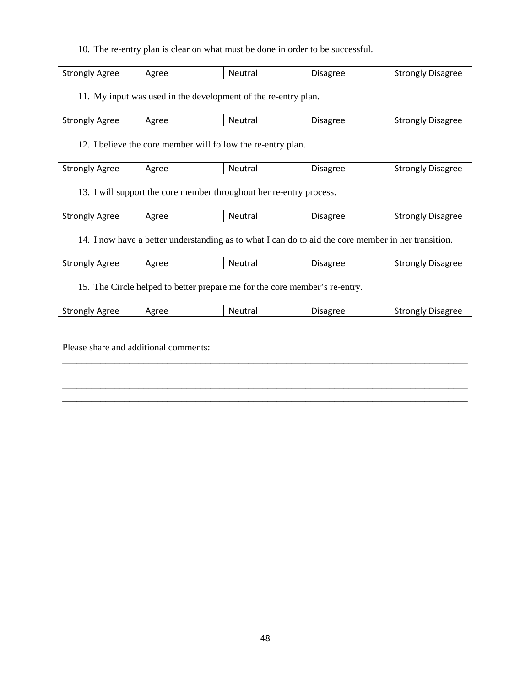10. The re-entry plan is clear on what must be done in order to be successful.

|  | <b>Strongly Agree</b> | Agree | Neutral | Jisagree | rongiv Disagree<br><b>JU</b> |
|--|-----------------------|-------|---------|----------|------------------------------|
|--|-----------------------|-------|---------|----------|------------------------------|

11. My input was used in the development of the re-entry plan.

| Agree<br>-----<br><b>Strongly</b><br>$\sim$ | $\mathbf{A}$ and $\mathbf{A}$<br>ہ∟<br>ne<br>ີ | .<br>N.<br>. .<br>a<br>ີ<br>____ | -<br><br>~ല -<br>יהר<br><u>LL</u> | ------<br>$\sim$ $\sim$ $\sim$ $\sim$ $\sim$ $\sim$<br>Jisagree<br>川ど<br>w<br>◡ |
|---------------------------------------------|------------------------------------------------|----------------------------------|-----------------------------------|---------------------------------------------------------------------------------|

12. I believe the core member will follow the re-entry plan.

| <b>Strongly Agree</b><br>Agree<br><b>Neutral</b><br><sup>s</sup> trongly Disagree<br>Disagree<br>эtг |
|------------------------------------------------------------------------------------------------------|
|------------------------------------------------------------------------------------------------------|

13. I will support the core member throughout her re-entry process.

| Strongly<br>Agree<br>$\sim$ | Agree | Neutra <sub>i</sub> | Disagree | Disagree<br>+ - - - - - -<br>oneiv<br>⊃u |
|-----------------------------|-------|---------------------|----------|------------------------------------------|
|                             |       |                     |          |                                          |

14. I now have a better understanding as to what I can do to aid the core member in her transition.

| <b>Strongly Agree</b> | Agree | <b>Neutral</b> | <b>Disagree</b> | <b>Strongly Disagree</b> |
|-----------------------|-------|----------------|-----------------|--------------------------|
|                       |       |                |                 |                          |

15. The Circle helped to better prepare me for the core member's re-entry.

| --<br>Agree<br>.<br>Strongly<br>$\sim$ | Agree | utral<br>NΑ | .<br>$\sim$ | ulsagree<br>-------<br>w<br>שו |
|----------------------------------------|-------|-------------|-------------|--------------------------------|
|----------------------------------------|-------|-------------|-------------|--------------------------------|

\_\_\_\_\_\_\_\_\_\_\_\_\_\_\_\_\_\_\_\_\_\_\_\_\_\_\_\_\_\_\_\_\_\_\_\_\_\_\_\_\_\_\_\_\_\_\_\_\_\_\_\_\_\_\_\_\_\_\_\_\_\_\_\_\_\_\_\_\_\_\_\_\_\_\_\_\_\_\_\_\_\_\_\_\_ \_\_\_\_\_\_\_\_\_\_\_\_\_\_\_\_\_\_\_\_\_\_\_\_\_\_\_\_\_\_\_\_\_\_\_\_\_\_\_\_\_\_\_\_\_\_\_\_\_\_\_\_\_\_\_\_\_\_\_\_\_\_\_\_\_\_\_\_\_\_\_\_\_\_\_\_\_\_\_\_\_\_\_\_\_ \_\_\_\_\_\_\_\_\_\_\_\_\_\_\_\_\_\_\_\_\_\_\_\_\_\_\_\_\_\_\_\_\_\_\_\_\_\_\_\_\_\_\_\_\_\_\_\_\_\_\_\_\_\_\_\_\_\_\_\_\_\_\_\_\_\_\_\_\_\_\_\_\_\_\_\_\_\_\_\_\_\_\_\_\_ \_\_\_\_\_\_\_\_\_\_\_\_\_\_\_\_\_\_\_\_\_\_\_\_\_\_\_\_\_\_\_\_\_\_\_\_\_\_\_\_\_\_\_\_\_\_\_\_\_\_\_\_\_\_\_\_\_\_\_\_\_\_\_\_\_\_\_\_\_\_\_\_\_\_\_\_\_\_\_\_\_\_\_\_\_

Please share and additional comments: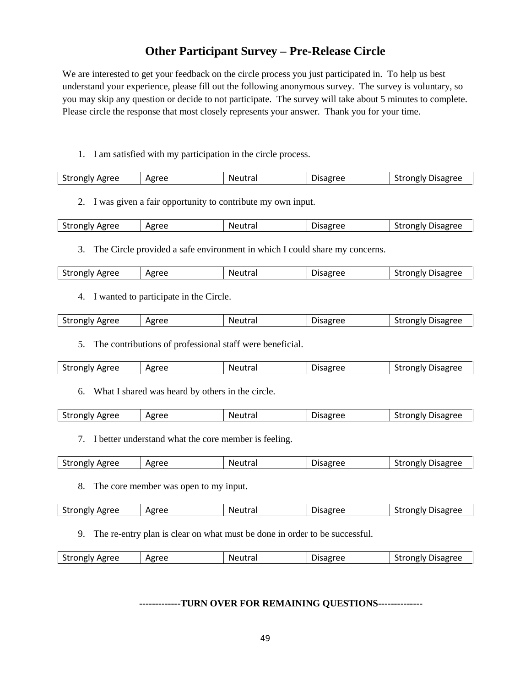## **Other Participant Survey – Pre-Release Circle**

We are interested to get your feedback on the circle process you just participated in. To help us best understand your experience, please fill out the following anonymous survey. The survey is voluntary, so you may skip any question or decide to not participate. The survey will take about 5 minutes to complete. Please circle the response that most closely represents your answer. Thank you for your time.

1. I am satisfied with my participation in the circle process.

|  | <b>Strongly Agree</b> | Agree | Neutral | Disagree | <b>Strongly Disagree</b> |
|--|-----------------------|-------|---------|----------|--------------------------|
|--|-----------------------|-------|---------|----------|--------------------------|

2. I was given a fair opportunity to contribute my own input.

| $\sim$<br>Strongly Agree<br>$\sim$ | . <del>.</del><br>N٤ | $-1$ | -<br>$  -$<br>$\cdots$<br>usapre |
|------------------------------------|----------------------|------|----------------------------------|
|------------------------------------|----------------------|------|----------------------------------|

3. The Circle provided a safe environment in which I could share my concerns.

| <b>Strongly Agree</b> | Agree | Neutral | Disagree | *rongly Disagree<br>Ыſ |
|-----------------------|-------|---------|----------|------------------------|
|                       |       |         |          |                        |

4. I wanted to participate in the Circle.

| Agree<br>Agree<br>Strongly<br>Disagree<br>Neutra<br>σree<br>trongly<br>Disagr<br>eutral |
|-----------------------------------------------------------------------------------------|
|-----------------------------------------------------------------------------------------|

5. The contributions of professional staff were beneficial.

| Strongiv.<br>ິບເເບ<br>ີ | Agree | Agree | NΑ<br>rutra | sagree | Disagree<br><b>Frongly</b> is |
|-------------------------|-------|-------|-------------|--------|-------------------------------|
|-------------------------|-------|-------|-------------|--------|-------------------------------|

6. What I shared was heard by others in the circle.

| $\sim$<br>Neutral<br>Agree<br>*rongly Disagree<br>Disagree |  | Agree<br>Strongly |  |  |  | วเเ |
|------------------------------------------------------------|--|-------------------|--|--|--|-----|
|------------------------------------------------------------|--|-------------------|--|--|--|-----|

7. I better understand what the core member is feeling.

|  | <b>Strongly Agree</b> | Agree | Neutral | -<br><b>Jisagree</b> | Disagree<br><b>*rongly</b> |
|--|-----------------------|-------|---------|----------------------|----------------------------|
|--|-----------------------|-------|---------|----------------------|----------------------------|

8. The core member was open to my input.

| <b>Strongly Agree</b> | Agree | Neutral | <b>Disagree</b> | <b>Strongly Disagree</b> |
|-----------------------|-------|---------|-----------------|--------------------------|
|                       |       |         |                 |                          |

9. The re-entry plan is clear on what must be done in order to be successful.

| <b>Strongly Agree</b> | Agree | Neutral | Disagree | <b>Strongly Disagree</b> |
|-----------------------|-------|---------|----------|--------------------------|
|                       |       |         |          |                          |

**-------------TURN OVER FOR REMAINING QUESTIONS--------------**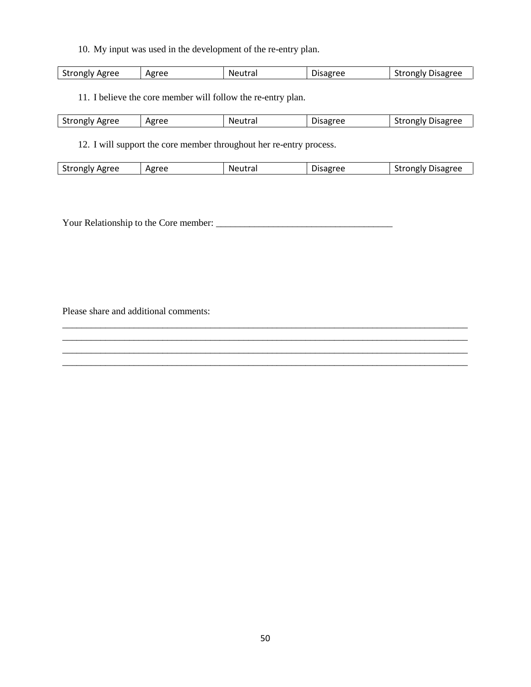10. My input was used in the development of the re-entry plan.

| <b>Strongly Agree</b><br>Agree<br><b>Strongly Disagree</b><br>Neutral<br>Disagree |
|-----------------------------------------------------------------------------------|
|-----------------------------------------------------------------------------------|

11. I believe the core member will follow the re-entry plan.

| <b>Strongly Agree</b> | Agree | Neutral | <b>Disagree</b> | <b>Disagree</b><br>strongly ' |
|-----------------------|-------|---------|-----------------|-------------------------------|
|-----------------------|-------|---------|-----------------|-------------------------------|

12. I will support the core member throughout her re-entry process.

| <b>Strongly Agree</b> | Agree | Neutral | Disagree | <b>Strongly Disagree</b> |
|-----------------------|-------|---------|----------|--------------------------|
|                       |       |         |          |                          |

\_\_\_\_\_\_\_\_\_\_\_\_\_\_\_\_\_\_\_\_\_\_\_\_\_\_\_\_\_\_\_\_\_\_\_\_\_\_\_\_\_\_\_\_\_\_\_\_\_\_\_\_\_\_\_\_\_\_\_\_\_\_\_\_\_\_\_\_\_\_\_\_\_\_\_\_\_\_\_\_\_\_\_\_\_ \_\_\_\_\_\_\_\_\_\_\_\_\_\_\_\_\_\_\_\_\_\_\_\_\_\_\_\_\_\_\_\_\_\_\_\_\_\_\_\_\_\_\_\_\_\_\_\_\_\_\_\_\_\_\_\_\_\_\_\_\_\_\_\_\_\_\_\_\_\_\_\_\_\_\_\_\_\_\_\_\_\_\_\_\_ \_\_\_\_\_\_\_\_\_\_\_\_\_\_\_\_\_\_\_\_\_\_\_\_\_\_\_\_\_\_\_\_\_\_\_\_\_\_\_\_\_\_\_\_\_\_\_\_\_\_\_\_\_\_\_\_\_\_\_\_\_\_\_\_\_\_\_\_\_\_\_\_\_\_\_\_\_\_\_\_\_\_\_\_\_ \_\_\_\_\_\_\_\_\_\_\_\_\_\_\_\_\_\_\_\_\_\_\_\_\_\_\_\_\_\_\_\_\_\_\_\_\_\_\_\_\_\_\_\_\_\_\_\_\_\_\_\_\_\_\_\_\_\_\_\_\_\_\_\_\_\_\_\_\_\_\_\_\_\_\_\_\_\_\_\_\_\_\_\_\_

Your Relationship to the Core member: \_\_\_\_\_\_\_\_\_\_\_\_\_\_\_\_\_\_\_\_\_\_\_\_\_\_\_\_\_\_\_\_\_\_\_\_\_

Please share and additional comments: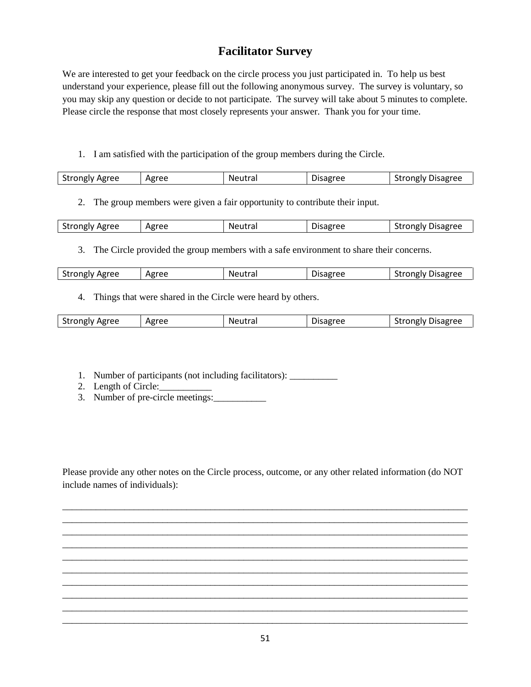## **Facilitator Survey**

We are interested to get your feedback on the circle process you just participated in. To help us best understand your experience, please fill out the following anonymous survey. The survey is voluntary, so you may skip any question or decide to not participate. The survey will take about 5 minutes to complete. Please circle the response that most closely represents your answer. Thank you for your time.

1. I am satisfied with the participation of the group members during the Circle.

| <b>Strongly Disagree</b> | <b>Strongly Agree</b><br>Agree<br>Neutral<br>Disagree |  |
|--------------------------|-------------------------------------------------------|--|
|--------------------------|-------------------------------------------------------|--|

2. The group members were given a fair opportunity to contribute their input.

| <b>Strongly Agree</b> | Agree | Neutra | Disagree | <b>Strongly Disagree</b> |
|-----------------------|-------|--------|----------|--------------------------|

3. The Circle provided the group members with a safe environment to share their concerns.

4. Things that were shared in the Circle were heard by others.

| <b>Strongly Agree</b> | Agree<br>$\cdot$ | Neutral | Disagree | Strongly Disagree - |
|-----------------------|------------------|---------|----------|---------------------|
|                       |                  |         |          |                     |

- 1. Number of participants (not including facilitators): \_\_\_\_\_\_\_\_\_\_
- 2. Length of Circle:
- 3. Number of pre-circle meetings:

Please provide any other notes on the Circle process, outcome, or any other related information (do NOT include names of individuals):

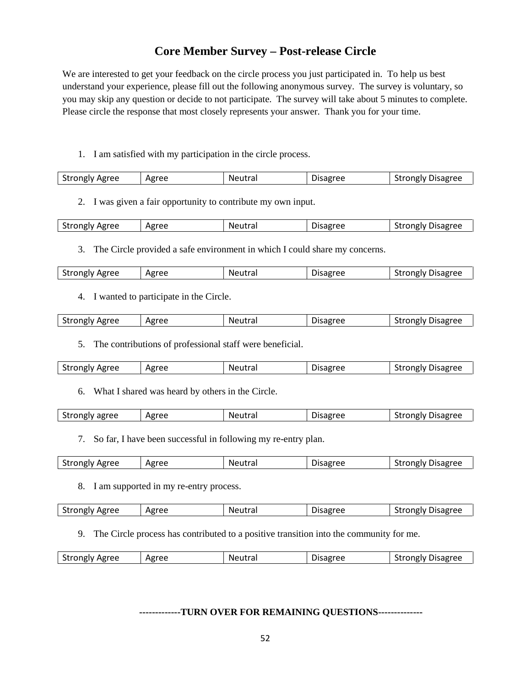## **Core Member Survey – Post-release Circle**

We are interested to get your feedback on the circle process you just participated in. To help us best understand your experience, please fill out the following anonymous survey. The survey is voluntary, so you may skip any question or decide to not participate. The survey will take about 5 minutes to complete. Please circle the response that most closely represents your answer. Thank you for your time.

1. I am satisfied with my participation in the circle process.

|  | <b>Strongly Agree</b> | Agree | Neutral | Disagree | <b>Strongly Disagree</b> |
|--|-----------------------|-------|---------|----------|--------------------------|
|--|-----------------------|-------|---------|----------|--------------------------|

2. I was given a fair opportunity to contribute my own input.

| <b>Strongly Agree</b><br>Agree<br>Disagree<br>Neutral<br>Jisagree<br>------<br>ו עושונו<br>. JI<br>$\sim$ |
|-----------------------------------------------------------------------------------------------------------|
|-----------------------------------------------------------------------------------------------------------|

3. The Circle provided a safe environment in which I could share my concerns.

| <b>Strongly Agree</b> | Agree | Neutral | Disagree | *rongly Disagree<br>Ыſ |
|-----------------------|-------|---------|----------|------------------------|
|                       |       |         |          |                        |

4. I wanted to participate in the Circle.

| $\sim$<br>Agree<br><b>Strongly Agree</b><br>- Neutra<br>Disagree<br><b>Disagree</b><br>trongly.<br>.eutral |
|------------------------------------------------------------------------------------------------------------|
|------------------------------------------------------------------------------------------------------------|

5. The contributions of professional staff were beneficial.

| Strongly Agree<br>Agree | Neutral | Disagree | Trongly Disagree<br>эı |
|-------------------------|---------|----------|------------------------|
|-------------------------|---------|----------|------------------------|

6. What I shared was heard by others in the Circle.

| agree<br>strongly 1 | Agree | Neutra. | <b>Disagree</b> | Disagree<br>`rongiv<br>- SLI |
|---------------------|-------|---------|-----------------|------------------------------|
|                     |       |         |                 |                              |

7. So far, I have been successful in following my re-entry plan.

| <b>Strongly Agree</b> | Agree | Neutral | $\overline{\phantom{0}}$<br><b>Disagree</b> | Disagree<br>mpin |
|-----------------------|-------|---------|---------------------------------------------|------------------|
|-----------------------|-------|---------|---------------------------------------------|------------------|

8. I am supported in my re-entry process.

| <b>Strongly Agree</b> | Agree | Neutral | <b>Disagree</b> | Strongly Disagree |
|-----------------------|-------|---------|-----------------|-------------------|
|                       |       |         |                 |                   |

9. The Circle process has contributed to a positive transition into the community for me.

| <b>Strongly Agree</b> | Agree | <b>Neutral</b> | Disagree | <b>Strongly Disagree</b> |
|-----------------------|-------|----------------|----------|--------------------------|
|                       |       |                |          |                          |

**-------------TURN OVER FOR REMAINING QUESTIONS--------------**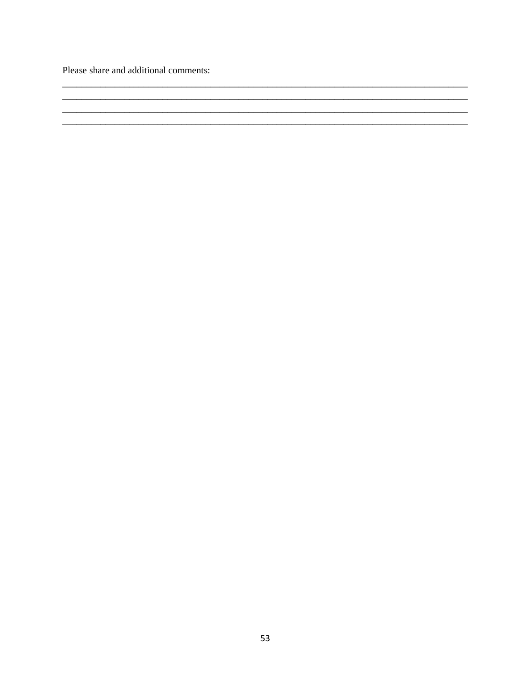Please share and additional comments: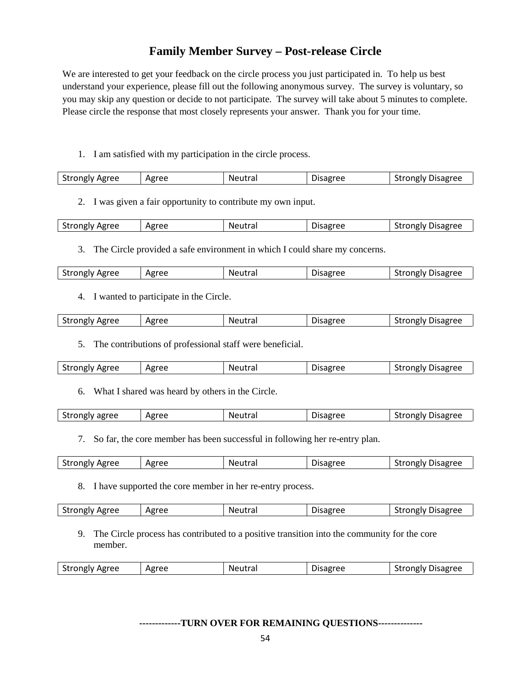## **Family Member Survey – Post-release Circle**

We are interested to get your feedback on the circle process you just participated in. To help us best understand your experience, please fill out the following anonymous survey. The survey is voluntary, so you may skip any question or decide to not participate. The survey will take about 5 minutes to complete. Please circle the response that most closely represents your answer. Thank you for your time.

#### 1. I am satisfied with my participation in the circle process.

| $\sim$<br>trongly Agreeہ ۔<br><b>Neutral</b><br>Disagree<br>$-$<br>.<br>ree<br>sapree<br>Α¥<br>- אונ<br>י<br>' I V |
|--------------------------------------------------------------------------------------------------------------------|
|--------------------------------------------------------------------------------------------------------------------|

2. I was given a fair opportunity to contribute my own input.

| <b>Strongly Agree</b><br>Agree | Neutral | Disagree | <b>Strongly Disagree</b> |
|--------------------------------|---------|----------|--------------------------|
|--------------------------------|---------|----------|--------------------------|

3. The Circle provided a safe environment in which I could share my concerns.

| <b>Strongly Agree</b> | Agree | Neutral | Disagree | *rongly Disagree<br>Ыſ |
|-----------------------|-------|---------|----------|------------------------|
|                       |       |         |          |                        |

4. I wanted to participate in the Circle.

| Agree<br>Agree<br>Strongly<br>Disagree<br>Neutra<br>σree<br>trongly<br>Disagr<br>eutral |
|-----------------------------------------------------------------------------------------|
|-----------------------------------------------------------------------------------------|

5. The contributions of professional staff were beneficial.

| -<br>$\sim$<br>Agree<br>Strongly Agree<br>Disagree<br>ົງຂອງອອກລາ<br><b>Frongly</b> is<br>utral<br>NΑ<br>DISƏR' |
|----------------------------------------------------------------------------------------------------------------|
|----------------------------------------------------------------------------------------------------------------|

6. What I shared was heard by others in the Circle.

| Strongly agree | Agree | Neutra | Disagree | <b>Disagree</b><br>*rongly<br>эu |
|----------------|-------|--------|----------|----------------------------------|
|                |       |        |          |                                  |

7. So far, the core member has been successful in following her re-entry plan.

| <b>Strongly Agree</b><br>Agree | .<br>Ne.<br>eutral | -<br>Disagree | Disagree<br>strongly ' |
|--------------------------------|--------------------|---------------|------------------------|
|--------------------------------|--------------------|---------------|------------------------|

8. I have supported the core member in her re-entry process.

|  | <b>Strongly Agree</b> | Agree | Neutral | Disagree | Strongly Disagree |
|--|-----------------------|-------|---------|----------|-------------------|
|--|-----------------------|-------|---------|----------|-------------------|

9. The Circle process has contributed to a positive transition into the community for the core member.

| $\sim$<br>oree<br>trongly Agreeج<br>Disagree<br>Neutrai<br>$-0 - 0 - 0 - 0$<br>`r∩nølv<br>sagree<br>Äg<br>$\sim$ |
|------------------------------------------------------------------------------------------------------------------|
|------------------------------------------------------------------------------------------------------------------|

#### **-------------TURN OVER FOR REMAINING QUESTIONS--------------**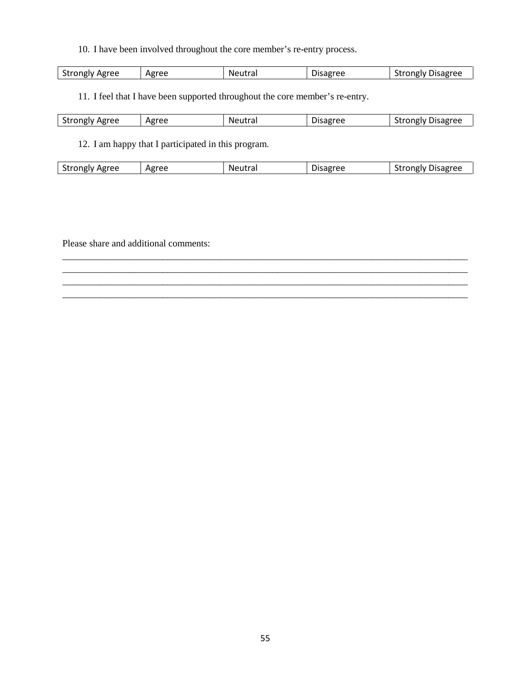10. I have been involved throughout the core member's re-entry process.

| Chappen Line<br>Agree<br>ے مr<br>$- - - - - -$<br>---<br><b>Strongly</b><br>ו עופוזנז |  |  | ີ | $A\mathcal{L}$<br>$\sim$ | Neutra | <b>Sdelee</b> | <b>Disagree</b> |
|---------------------------------------------------------------------------------------|--|--|---|--------------------------|--------|---------------|-----------------|
|---------------------------------------------------------------------------------------|--|--|---|--------------------------|--------|---------------|-----------------|

11. I feel that I have been supported throughout the core member's re-entry.

| eree<br>- - - -<br>Αષ<br>мн<br>UNKIV | $-1$<br>HE.<br>ີ | . . <b>.</b><br>N<br>a<br>. | ----<br>. . | $-0 - 0 - 0 - 0$<br>------<br>Jisaer<br>אוונ<br>$\cdot$ |
|--------------------------------------|------------------|-----------------------------|-------------|---------------------------------------------------------|

12. I am happy that I participated in this program.

| <b>Strongly Agree</b> | Agree | Neutral | <b>Disagree</b> | <b>Strongly Disagree</b> |
|-----------------------|-------|---------|-----------------|--------------------------|
|                       |       |         |                 |                          |

\_\_\_\_\_\_\_\_\_\_\_\_\_\_\_\_\_\_\_\_\_\_\_\_\_\_\_\_\_\_\_\_\_\_\_\_\_\_\_\_\_\_\_\_\_\_\_\_\_\_\_\_\_\_\_\_\_\_\_\_\_\_\_\_\_\_\_\_\_\_\_\_\_\_\_\_\_\_\_\_\_\_\_\_\_ \_\_\_\_\_\_\_\_\_\_\_\_\_\_\_\_\_\_\_\_\_\_\_\_\_\_\_\_\_\_\_\_\_\_\_\_\_\_\_\_\_\_\_\_\_\_\_\_\_\_\_\_\_\_\_\_\_\_\_\_\_\_\_\_\_\_\_\_\_\_\_\_\_\_\_\_\_\_\_\_\_\_\_\_\_ \_\_\_\_\_\_\_\_\_\_\_\_\_\_\_\_\_\_\_\_\_\_\_\_\_\_\_\_\_\_\_\_\_\_\_\_\_\_\_\_\_\_\_\_\_\_\_\_\_\_\_\_\_\_\_\_\_\_\_\_\_\_\_\_\_\_\_\_\_\_\_\_\_\_\_\_\_\_\_\_\_\_\_\_\_ \_\_\_\_\_\_\_\_\_\_\_\_\_\_\_\_\_\_\_\_\_\_\_\_\_\_\_\_\_\_\_\_\_\_\_\_\_\_\_\_\_\_\_\_\_\_\_\_\_\_\_\_\_\_\_\_\_\_\_\_\_\_\_\_\_\_\_\_\_\_\_\_\_\_\_\_\_\_\_\_\_\_\_\_\_

Please share and additional comments: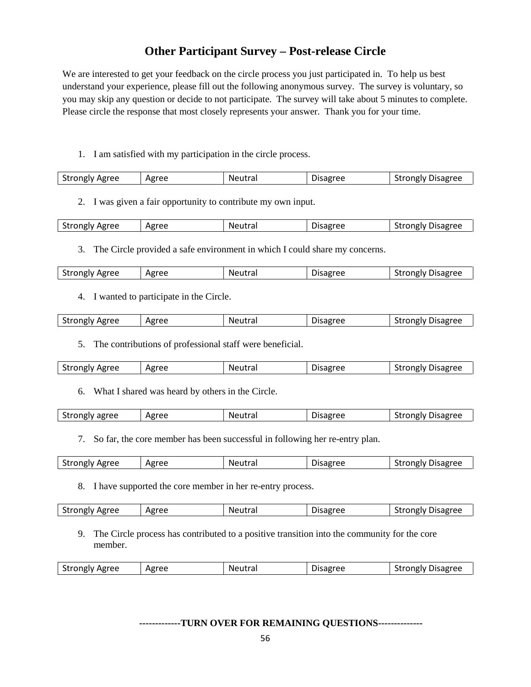## **Other Participant Survey – Post-release Circle**

We are interested to get your feedback on the circle process you just participated in. To help us best understand your experience, please fill out the following anonymous survey. The survey is voluntary, so you may skip any question or decide to not participate. The survey will take about 5 minutes to complete. Please circle the response that most closely represents your answer. Thank you for your time.

1. I am satisfied with my participation in the circle process.

| <b>Strongly Agree</b> | Agree | Neutral | Disagree | <b>Strongly Disagree</b> |
|-----------------------|-------|---------|----------|--------------------------|
|                       |       |         |          |                          |

2. I was given a fair opportunity to contribute my own input.

| <b>Strongly Agree</b> | Agree | Neutral | Disagree | Strongly Disagree |
|-----------------------|-------|---------|----------|-------------------|

3. The Circle provided a safe environment in which I could share my concerns.

| <b>Strongly Agree</b> | Agree | Neutral | Disagree | *rongly Disagree<br>Ыſ |
|-----------------------|-------|---------|----------|------------------------|
|                       |       |         |          |                        |

4. I wanted to participate in the Circle.

| Agree<br>Agree<br>Strongly<br>Disagree<br>Neutra<br>σree<br>trongly<br>Disagr<br>eutral |
|-----------------------------------------------------------------------------------------|
|-----------------------------------------------------------------------------------------|

5. The contributions of professional staff were beneficial.

| <b>Strongly Agree</b><br>Agree<br>Neutra<br><b>PARELL</b> | Disagree<br>strongly<br>' I V |
|-----------------------------------------------------------|-------------------------------|
|-----------------------------------------------------------|-------------------------------|

6. What I shared was heard by others in the Circle.

| Strongly agree | Agree | Neutral | <b>Disagree</b> | <b>Strongly Disagree</b> |
|----------------|-------|---------|-----------------|--------------------------|
|                |       |         |                 |                          |

7. So far, the core member has been successful in following her re-entry plan.

| <b>Strongly Agree</b><br>Agree | .<br>Ne.<br>eutral | -<br>Disagree | Disagree<br>strongly ' |
|--------------------------------|--------------------|---------------|------------------------|
|--------------------------------|--------------------|---------------|------------------------|

8. I have supported the core member in her re-entry process.

|  | <b>Strongly Agree</b> | Agree | Neutral | Disagree | Strongly Disagree |
|--|-----------------------|-------|---------|----------|-------------------|
|--|-----------------------|-------|---------|----------|-------------------|

9. The Circle process has contributed to a positive transition into the community for the core member.

| $\sim$<br>oree<br>Disagree<br>trongly Agreeج<br>Neutrai<br>$-0 - 0 - 0 - 0$<br>`r∩nølv<br>sagree<br>Äg<br>$\sim$ |
|------------------------------------------------------------------------------------------------------------------|
|------------------------------------------------------------------------------------------------------------------|

#### **-------------TURN OVER FOR REMAINING QUESTIONS--------------**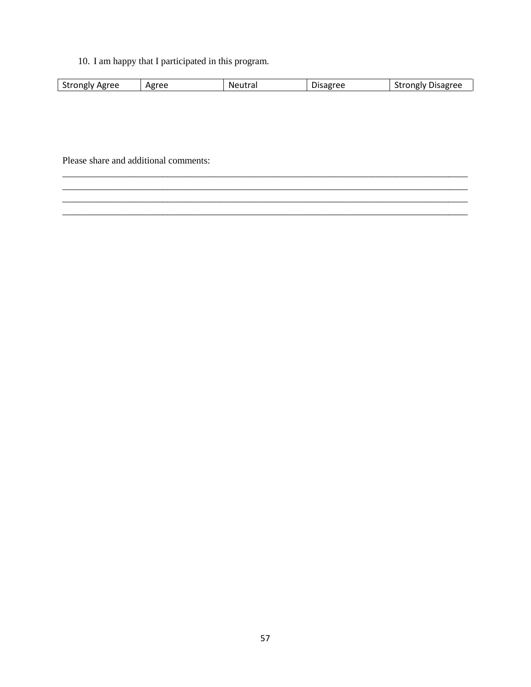10. I am happy that I participated in this program.

| Agree<br>$+$<br>Strongly<br>$\sim$ | $\sim$<br>۰ρρ<br>Agr<br><u>. L</u> | Neutra. | . DF<br>.5791 | Disagree<br>`rongiv . |
|------------------------------------|------------------------------------|---------|---------------|-----------------------|
|                                    |                                    |         |               |                       |

Please share and additional comments: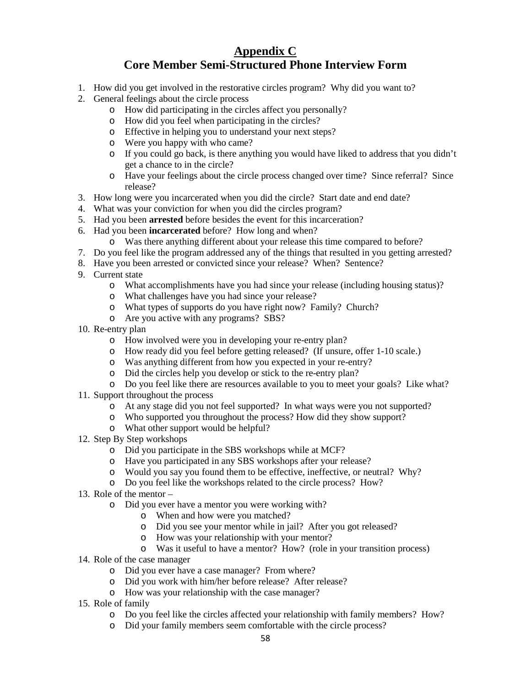## **Appendix C Core Member Semi-Structured Phone Interview Form**

- 1. How did you get involved in the restorative circles program? Why did you want to?
- 2. General feelings about the circle process
	- o How did participating in the circles affect you personally?
	- o How did you feel when participating in the circles?
	- o Effective in helping you to understand your next steps?
	- o Were you happy with who came?
	- o If you could go back, is there anything you would have liked to address that you didn't get a chance to in the circle?
	- o Have your feelings about the circle process changed over time? Since referral? Since release?
- 3. How long were you incarcerated when you did the circle? Start date and end date?
- 4. What was your conviction for when you did the circles program?
- 5. Had you been **arrested** before besides the event for this incarceration?
- 6. Had you been **incarcerated** before? How long and when?
	- o Was there anything different about your release this time compared to before?
- 7. Do you feel like the program addressed any of the things that resulted in you getting arrested?
- 8. Have you been arrested or convicted since your release? When? Sentence?
- 9. Current state
	- o What accomplishments have you had since your release (including housing status)?
	- o What challenges have you had since your release?
	- o What types of supports do you have right now? Family? Church?
	- o Are you active with any programs? SBS?
- 10. Re-entry plan
	- o How involved were you in developing your re-entry plan?
	- o How ready did you feel before getting released? (If unsure, offer 1-10 scale.)
	- o Was anything different from how you expected in your re-entry?
	- o Did the circles help you develop or stick to the re-entry plan?
	- o Do you feel like there are resources available to you to meet your goals? Like what?
- 11. Support throughout the process
	- o At any stage did you not feel supported? In what ways were you not supported?
	- o Who supported you throughout the process? How did they show support?
	- o What other support would be helpful?
- 12. Step By Step workshops
	- o Did you participate in the SBS workshops while at MCF?
	- o Have you participated in any SBS workshops after your release?
	- o Would you say you found them to be effective, ineffective, or neutral? Why?
	- o Do you feel like the workshops related to the circle process? How?
- 13. Role of the mentor
	- o Did you ever have a mentor you were working with?
		- o When and how were you matched?
		- o Did you see your mentor while in jail? After you got released?
		- o How was your relationship with your mentor?
		- o Was it useful to have a mentor? How? (role in your transition process)
- 14. Role of the case manager
	- o Did you ever have a case manager? From where?
	- o Did you work with him/her before release? After release?
	- o How was your relationship with the case manager?
- 15. Role of family
	- o Do you feel like the circles affected your relationship with family members? How?
	- o Did your family members seem comfortable with the circle process?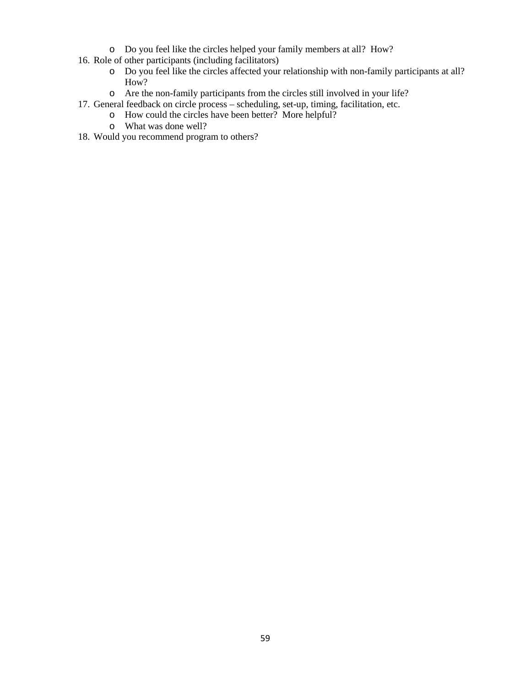- o Do you feel like the circles helped your family members at all? How?
- 16. Role of other participants (including facilitators)
	- o Do you feel like the circles affected your relationship with non-family participants at all? How?
	- o Are the non-family participants from the circles still involved in your life?
- 17. General feedback on circle process scheduling, set-up, timing, facilitation, etc.
	- o How could the circles have been better? More helpful?
	- o What was done well?
- 18. Would you recommend program to others?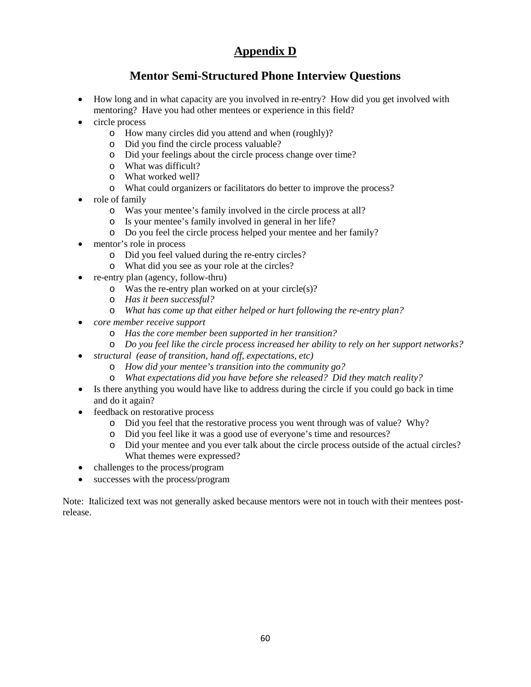## **Appendix D**

## **Mentor Semi-Structured Phone Interview Questions**

- How long and in what capacity are you involved in re-entry? How did you get involved with mentoring? Have you had other mentees or experience in this field?
- circle process
	- o How many circles did you attend and when (roughly)?
	- o Did you find the circle process valuable?
	- o Did your feelings about the circle process change over time?
	- o What was difficult?
	- o What worked well?
	- o What could organizers or facilitators do better to improve the process?
- role of family
	- o Was your mentee's family involved in the circle process at all?
	- o Is your mentee's family involved in general in her life?
	- o Do you feel the circle process helped your mentee and her family?
- mentor's role in process
	- o Did you feel valued during the re-entry circles?
	- o What did you see as your role at the circles?
- re-entry plan (agency, follow-thru)
	- o Was the re-entry plan worked on at your circle(s)?
	- o *Has it been successful?*
	- o *What has come up that either helped or hurt following the re-entry plan?*
- *core member receive support*
	- o *Has the core member been supported in her transition?*
	- o *Do you feel like the circle process increased her ability to rely on her support networks?*
- *structural (ease of transition, hand off, expectations, etc)*
	- o *How did your mentee's transition into the community go?*
	- o *What expectations did you have before she released? Did they match reality?*
- Is there anything you would have like to address during the circle if you could go back in time and do it again?
- feedback on restorative process
	- o Did you feel that the restorative process you went through was of value? Why?
	- o Did you feel like it was a good use of everyone's time and resources?
	- o Did your mentee and you ever talk about the circle process outside of the actual circles? What themes were expressed?
- challenges to the process/program
- successes with the process/program

Note: Italicized text was not generally asked because mentors were not in touch with their mentees postrelease.